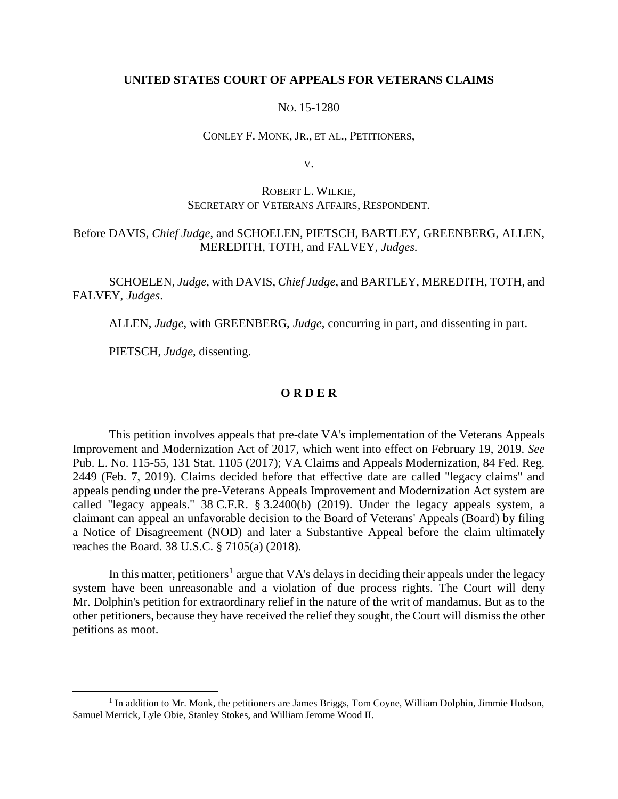## **UNITED STATES COURT OF APPEALS FOR VETERANS CLAIMS**

## NO. 15-1280

#### CONLEY F. MONK, JR., ET AL., PETITIONERS,

V.

# ROBERT L. WILKIE, SECRETARY OF VETERANS AFFAIRS, RESPONDENT.

# Before DAVIS, *Chief Judge*, and SCHOELEN, PIETSCH, BARTLEY, GREENBERG, ALLEN, MEREDITH, TOTH, and FALVEY, *Judges.*

SCHOELEN, *Judge*, with DAVIS, *Chief Judge*, and BARTLEY, MEREDITH, TOTH, and FALVEY, *Judges*.

ALLEN, *Judge*, with GREENBERG, *Judge*, concurring in part, and dissenting in part.

PIETSCH, *Judge*, dissenting.

 $\overline{a}$ 

## **O R D E R**

This petition involves appeals that pre-date VA's implementation of the Veterans Appeals Improvement and Modernization Act of 2017, which went into effect on February 19, 2019. *See*  Pub. L. No. 115-55, 131 Stat. 1105 (2017); VA Claims and Appeals Modernization, 84 Fed. Reg. 2449 (Feb. 7, 2019). Claims decided before that effective date are called "legacy claims" and appeals pending under the pre-Veterans Appeals Improvement and Modernization Act system are called "legacy appeals." 38 C.F.R. § 3.2400(b) (2019). Under the legacy appeals system, a claimant can appeal an unfavorable decision to the Board of Veterans' Appeals (Board) by filing a Notice of Disagreement (NOD) and later a Substantive Appeal before the claim ultimately reaches the Board. 38 U.S.C. § 7105(a) (2018).

In this matter, petitioners<sup>1</sup> argue that VA's delays in deciding their appeals under the legacy system have been unreasonable and a violation of due process rights. The Court will deny Mr. Dolphin's petition for extraordinary relief in the nature of the writ of mandamus. But as to the other petitioners, because they have received the relief they sought, the Court will dismiss the other petitions as moot.

<sup>&</sup>lt;sup>1</sup> In addition to Mr. Monk, the petitioners are James Briggs, Tom Coyne, William Dolphin, Jimmie Hudson, Samuel Merrick, Lyle Obie, Stanley Stokes, and William Jerome Wood II.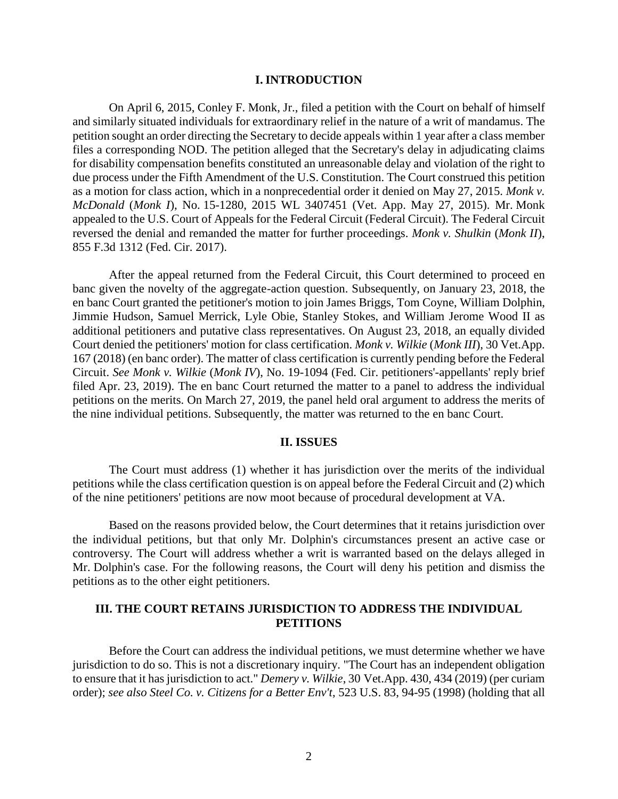#### **I. INTRODUCTION**

On April 6, 2015, Conley F. Monk, Jr., filed a petition with the Court on behalf of himself and similarly situated individuals for extraordinary relief in the nature of a writ of mandamus. The petition sought an order directing the Secretary to decide appeals within 1 year after a class member files a corresponding NOD. The petition alleged that the Secretary's delay in adjudicating claims for disability compensation benefits constituted an unreasonable delay and violation of the right to due process under the Fifth Amendment of the U.S. Constitution. The Court construed this petition as a motion for class action, which in a nonprecedential order it denied on May 27, 2015. *Monk v. McDonald* (*Monk I*), No. 15-1280, 2015 WL 3407451 (Vet. App. May 27, 2015). Mr. Monk appealed to the U.S. Court of Appeals for the Federal Circuit (Federal Circuit). The Federal Circuit reversed the denial and remanded the matter for further proceedings. *Monk v. Shulkin* (*Monk II*), 855 F.3d 1312 (Fed. Cir. 2017).

After the appeal returned from the Federal Circuit, this Court determined to proceed en banc given the novelty of the aggregate-action question. Subsequently, on January 23, 2018, the en banc Court granted the petitioner's motion to join James Briggs, Tom Coyne, William Dolphin, Jimmie Hudson, Samuel Merrick, Lyle Obie, Stanley Stokes, and William Jerome Wood II as additional petitioners and putative class representatives. On August 23, 2018, an equally divided Court denied the petitioners' motion for class certification. *Monk v. Wilkie* (*Monk III*), 30 Vet.App. 167 (2018) (en banc order). The matter of class certification is currently pending before the Federal Circuit. *See Monk v. Wilkie* (*Monk IV*), No. 19-1094 (Fed. Cir. petitioners'-appellants' reply brief filed Apr. 23, 2019). The en banc Court returned the matter to a panel to address the individual petitions on the merits. On March 27, 2019, the panel held oral argument to address the merits of the nine individual petitions. Subsequently, the matter was returned to the en banc Court.

#### **II. ISSUES**

The Court must address (1) whether it has jurisdiction over the merits of the individual petitions while the class certification question is on appeal before the Federal Circuit and (2) which of the nine petitioners' petitions are now moot because of procedural development at VA.

Based on the reasons provided below, the Court determines that it retains jurisdiction over the individual petitions, but that only Mr. Dolphin's circumstances present an active case or controversy. The Court will address whether a writ is warranted based on the delays alleged in Mr. Dolphin's case. For the following reasons, the Court will deny his petition and dismiss the petitions as to the other eight petitioners.

## **III. THE COURT RETAINS JURISDICTION TO ADDRESS THE INDIVIDUAL PETITIONS**

Before the Court can address the individual petitions, we must determine whether we have jurisdiction to do so. This is not a discretionary inquiry. "The Court has an independent obligation to ensure that it has jurisdiction to act." *Demery v. Wilkie*, 30 Vet.App. 430, 434 (2019) (per curiam order); *see also Steel Co. v. Citizens for a Better Env't*, 523 U.S. 83, 94-95 (1998) (holding that all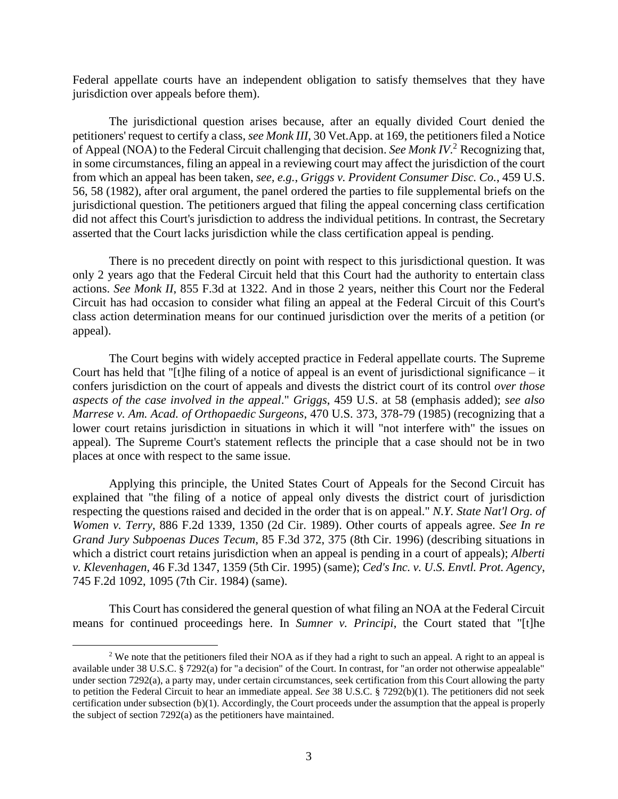Federal appellate courts have an independent obligation to satisfy themselves that they have jurisdiction over appeals before them).

The jurisdictional question arises because, after an equally divided Court denied the petitioners' request to certify a class, *see Monk III*, 30 Vet.App. at 169, the petitioners filed a Notice of Appeal (NOA) to the Federal Circuit challenging that decision. *See Monk IV*. <sup>2</sup> Recognizing that, in some circumstances, filing an appeal in a reviewing court may affect the jurisdiction of the court from which an appeal has been taken, *see, e.g.*, *Griggs v. Provident Consumer Disc. Co.*, 459 U.S. 56, 58 (1982), after oral argument, the panel ordered the parties to file supplemental briefs on the jurisdictional question. The petitioners argued that filing the appeal concerning class certification did not affect this Court's jurisdiction to address the individual petitions. In contrast, the Secretary asserted that the Court lacks jurisdiction while the class certification appeal is pending.

There is no precedent directly on point with respect to this jurisdictional question. It was only 2 years ago that the Federal Circuit held that this Court had the authority to entertain class actions. *See Monk II*, 855 F.3d at 1322. And in those 2 years, neither this Court nor the Federal Circuit has had occasion to consider what filing an appeal at the Federal Circuit of this Court's class action determination means for our continued jurisdiction over the merits of a petition (or appeal).

The Court begins with widely accepted practice in Federal appellate courts. The Supreme Court has held that "[t]he filing of a notice of appeal is an event of jurisdictional significance – it confers jurisdiction on the court of appeals and divests the district court of its control *over those aspects of the case involved in the appeal*." *Griggs*, 459 U.S. at 58 (emphasis added); *see also Marrese v. Am. Acad. of Orthopaedic Surgeons*, 470 U.S. 373, 378-79 (1985) (recognizing that a lower court retains jurisdiction in situations in which it will "not interfere with" the issues on appeal). The Supreme Court's statement reflects the principle that a case should not be in two places at once with respect to the same issue.

Applying this principle, the United States Court of Appeals for the Second Circuit has explained that "the filing of a notice of appeal only divests the district court of jurisdiction respecting the questions raised and decided in the order that is on appeal." *N.Y. State Nat'l Org. of Women v. Terry*, 886 F.2d 1339, 1350 (2d Cir. 1989). Other courts of appeals agree. *See In re Grand Jury Subpoenas Duces Tecum*, 85 F.3d 372, 375 (8th Cir. 1996) (describing situations in which a district court retains jurisdiction when an appeal is pending in a court of appeals); *Alberti v. Klevenhagen*, 46 F.3d 1347, 1359 (5th Cir. 1995) (same); *Ced's Inc. v. U.S. Envtl. Prot. Agency*, 745 F.2d 1092, 1095 (7th Cir. 1984) (same).

This Court has considered the general question of what filing an NOA at the Federal Circuit means for continued proceedings here. In *Sumner v. Principi*, the Court stated that "[t]he

<sup>&</sup>lt;sup>2</sup> We note that the petitioners filed their NOA as if they had a right to such an appeal. A right to an appeal is available under 38 U.S.C. § 7292(a) for "a decision" of the Court. In contrast, for "an order not otherwise appealable" under section 7292(a), a party may, under certain circumstances, seek certification from this Court allowing the party to petition the Federal Circuit to hear an immediate appeal. *See* 38 U.S.C. § 7292(b)(1). The petitioners did not seek certification under subsection (b)(1). Accordingly, the Court proceeds under the assumption that the appeal is properly the subject of section 7292(a) as the petitioners have maintained.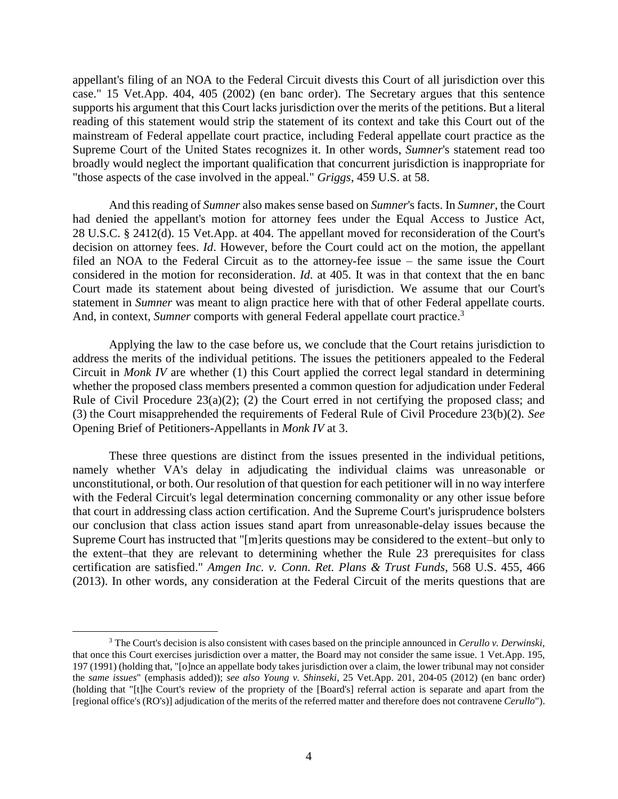appellant's filing of an NOA to the Federal Circuit divests this Court of all jurisdiction over this case." 15 Vet.App. 404, 405 (2002) (en banc order). The Secretary argues that this sentence supports his argument that this Court lacks jurisdiction over the merits of the petitions. But a literal reading of this statement would strip the statement of its context and take this Court out of the mainstream of Federal appellate court practice, including Federal appellate court practice as the Supreme Court of the United States recognizes it. In other words, *Sumner*'s statement read too broadly would neglect the important qualification that concurrent jurisdiction is inappropriate for "those aspects of the case involved in the appeal." *Griggs*, 459 U.S. at 58.

And this reading of *Sumner* also makes sense based on *Sumner*'s facts. In *Sumner*, the Court had denied the appellant's motion for attorney fees under the Equal Access to Justice Act, 28 U.S.C. § 2412(d). 15 Vet.App. at 404. The appellant moved for reconsideration of the Court's decision on attorney fees. *Id*. However, before the Court could act on the motion, the appellant filed an NOA to the Federal Circuit as to the attorney-fee issue – the same issue the Court considered in the motion for reconsideration. *Id*. at 405. It was in that context that the en banc Court made its statement about being divested of jurisdiction. We assume that our Court's statement in *Sumner* was meant to align practice here with that of other Federal appellate courts. And, in context, Sumner comports with general Federal appellate court practice.<sup>3</sup>

Applying the law to the case before us, we conclude that the Court retains jurisdiction to address the merits of the individual petitions. The issues the petitioners appealed to the Federal Circuit in *Monk IV* are whether (1) this Court applied the correct legal standard in determining whether the proposed class members presented a common question for adjudication under Federal Rule of Civil Procedure 23(a)(2); (2) the Court erred in not certifying the proposed class; and (3) the Court misapprehended the requirements of Federal Rule of Civil Procedure 23(b)(2). *See*  Opening Brief of Petitioners-Appellants in *Monk IV* at 3.

These three questions are distinct from the issues presented in the individual petitions, namely whether VA's delay in adjudicating the individual claims was unreasonable or unconstitutional, or both. Our resolution of that question for each petitioner will in no way interfere with the Federal Circuit's legal determination concerning commonality or any other issue before that court in addressing class action certification. And the Supreme Court's jurisprudence bolsters our conclusion that class action issues stand apart from unreasonable-delay issues because the Supreme Court has instructed that "[m]erits questions may be considered to the extent–but only to the extent–that they are relevant to determining whether the Rule 23 prerequisites for class certification are satisfied." *Amgen Inc. v. Conn. Ret. Plans & Trust Funds*, 568 U.S. 455, 466 (2013). In other words, any consideration at the Federal Circuit of the merits questions that are

<sup>3</sup> The Court's decision is also consistent with cases based on the principle announced in *Cerullo v. Derwinski*, that once this Court exercises jurisdiction over a matter, the Board may not consider the same issue. 1 Vet.App. 195, 197 (1991) (holding that, "[o]nce an appellate body takes jurisdiction over a claim, the lower tribunal may not consider the *same issues*" (emphasis added)); *see also Young v. Shinseki*, 25 Vet.App. 201, 204-05 (2012) (en banc order) (holding that "[t]he Court's review of the propriety of the [Board's] referral action is separate and apart from the [regional office's (RO's)] adjudication of the merits of the referred matter and therefore does not contravene *Cerullo*").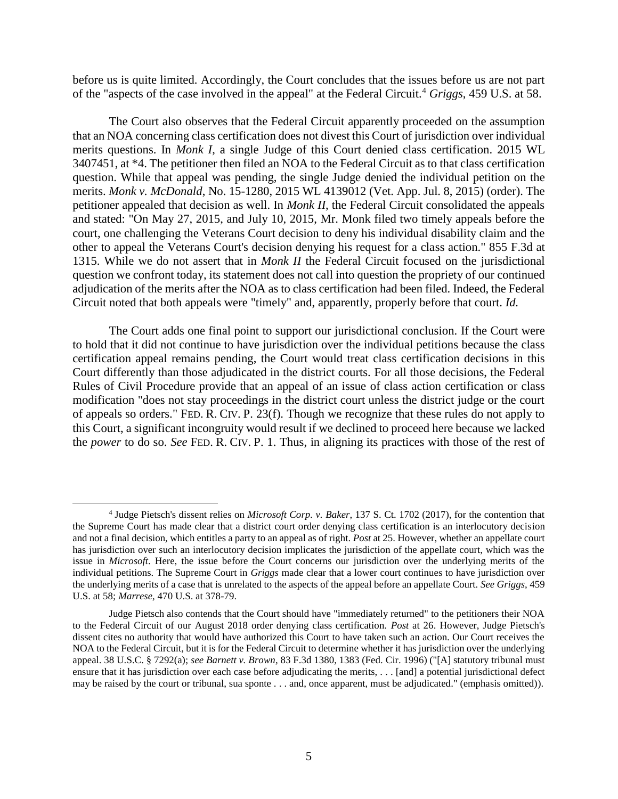before us is quite limited. Accordingly, the Court concludes that the issues before us are not part of the "aspects of the case involved in the appeal" at the Federal Circuit.<sup>4</sup> *Griggs*, 459 U.S. at 58.

The Court also observes that the Federal Circuit apparently proceeded on the assumption that an NOA concerning class certification does not divest this Court of jurisdiction over individual merits questions. In *Monk I*, a single Judge of this Court denied class certification. 2015 WL 3407451, at \*4. The petitioner then filed an NOA to the Federal Circuit as to that class certification question. While that appeal was pending, the single Judge denied the individual petition on the merits. *Monk v. McDonald*, No. 15-1280, 2015 WL 4139012 (Vet. App. Jul. 8, 2015) (order). The petitioner appealed that decision as well. In *Monk II*, the Federal Circuit consolidated the appeals and stated: "On May 27, 2015, and July 10, 2015, Mr. Monk filed two timely appeals before the court, one challenging the Veterans Court decision to deny his individual disability claim and the other to appeal the Veterans Court's decision denying his request for a class action." 855 F.3d at 1315. While we do not assert that in *Monk II* the Federal Circuit focused on the jurisdictional question we confront today, its statement does not call into question the propriety of our continued adjudication of the merits after the NOA as to class certification had been filed. Indeed, the Federal Circuit noted that both appeals were "timely" and, apparently, properly before that court. *Id.*

The Court adds one final point to support our jurisdictional conclusion. If the Court were to hold that it did not continue to have jurisdiction over the individual petitions because the class certification appeal remains pending, the Court would treat class certification decisions in this Court differently than those adjudicated in the district courts. For all those decisions, the Federal Rules of Civil Procedure provide that an appeal of an issue of class action certification or class modification "does not stay proceedings in the district court unless the district judge or the court of appeals so orders." FED. R. CIV. P. 23(f). Though we recognize that these rules do not apply to this Court, a significant incongruity would result if we declined to proceed here because we lacked the *power* to do so. *See* FED. R. CIV. P. 1. Thus, in aligning its practices with those of the rest of

<sup>4</sup> Judge Pietsch's dissent relies on *Microsoft Corp. v. Baker*, 137 S. Ct. 1702 (2017), for the contention that the Supreme Court has made clear that a district court order denying class certification is an interlocutory decision and not a final decision, which entitles a party to an appeal as of right. *Post* at 25. However, whether an appellate court has jurisdiction over such an interlocutory decision implicates the jurisdiction of the appellate court, which was the issue in *Microsoft*. Here, the issue before the Court concerns our jurisdiction over the underlying merits of the individual petitions. The Supreme Court in *Griggs* made clear that a lower court continues to have jurisdiction over the underlying merits of a case that is unrelated to the aspects of the appeal before an appellate Court. *See Griggs*, 459 U.S. at 58; *Marrese*, 470 U.S. at 378-79.

Judge Pietsch also contends that the Court should have "immediately returned" to the petitioners their NOA to the Federal Circuit of our August 2018 order denying class certification. *Post* at 26. However, Judge Pietsch's dissent cites no authority that would have authorized this Court to have taken such an action. Our Court receives the NOA to the Federal Circuit, but it is for the Federal Circuit to determine whether it has jurisdiction over the underlying appeal. 38 U.S.C. § 7292(a); *see Barnett v. Brown*, 83 F.3d 1380, 1383 (Fed. Cir. 1996) ("[A] statutory tribunal must ensure that it has jurisdiction over each case before adjudicating the merits, . . . [and] a potential jurisdictional defect may be raised by the court or tribunal, sua sponte . . . and, once apparent, must be adjudicated." (emphasis omitted)).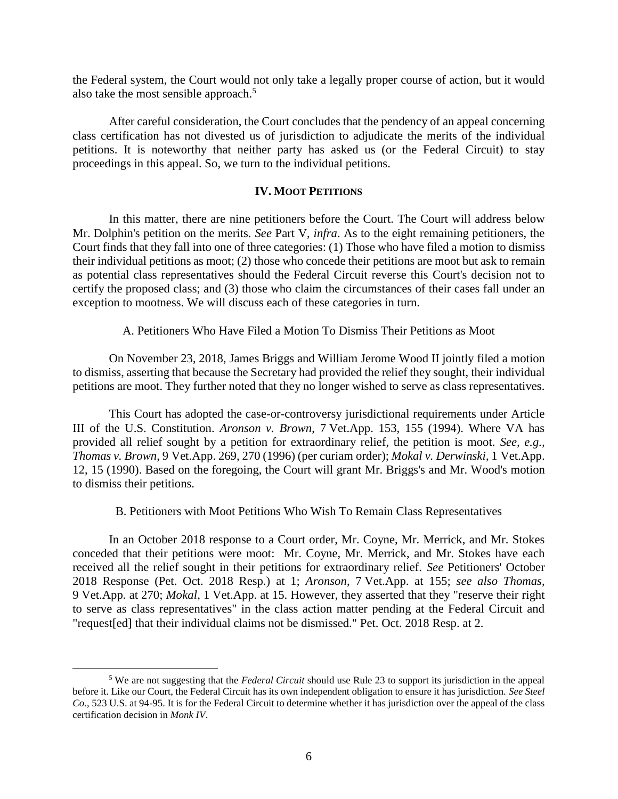the Federal system, the Court would not only take a legally proper course of action, but it would also take the most sensible approach.<sup>5</sup>

After careful consideration, the Court concludes that the pendency of an appeal concerning class certification has not divested us of jurisdiction to adjudicate the merits of the individual petitions. It is noteworthy that neither party has asked us (or the Federal Circuit) to stay proceedings in this appeal. So, we turn to the individual petitions.

#### **IV. MOOT PETITIONS**

In this matter, there are nine petitioners before the Court. The Court will address below Mr. Dolphin's petition on the merits. *See* Part V, *infra*. As to the eight remaining petitioners, the Court finds that they fall into one of three categories: (1) Those who have filed a motion to dismiss their individual petitions as moot; (2) those who concede their petitions are moot but ask to remain as potential class representatives should the Federal Circuit reverse this Court's decision not to certify the proposed class; and (3) those who claim the circumstances of their cases fall under an exception to mootness. We will discuss each of these categories in turn.

A. Petitioners Who Have Filed a Motion To Dismiss Their Petitions as Moot

On November 23, 2018, James Briggs and William Jerome Wood II jointly filed a motion to dismiss, asserting that because the Secretary had provided the relief they sought, their individual petitions are moot. They further noted that they no longer wished to serve as class representatives.

This Court has adopted the case-or-controversy jurisdictional requirements under Article III of the U.S. Constitution. *Aronson v. Brown*, 7 Vet.App. 153, 155 (1994). Where VA has provided all relief sought by a petition for extraordinary relief, the petition is moot. *See, e.g., Thomas v. Brown*, 9 Vet.App. 269, 270 (1996) (per curiam order); *Mokal v. Derwinski*, 1 Vet.App. 12, 15 (1990). Based on the foregoing, the Court will grant Mr. Briggs's and Mr. Wood's motion to dismiss their petitions.

B. Petitioners with Moot Petitions Who Wish To Remain Class Representatives

In an October 2018 response to a Court order, Mr. Coyne, Mr. Merrick, and Mr. Stokes conceded that their petitions were moot: Mr. Coyne, Mr. Merrick, and Mr. Stokes have each received all the relief sought in their petitions for extraordinary relief. *See* Petitioners' October 2018 Response (Pet. Oct. 2018 Resp.) at 1; *Aronson*, 7 Vet.App. at 155; *see also Thomas*, 9 Vet.App. at 270; *Mokal*, 1 Vet.App. at 15. However, they asserted that they "reserve their right to serve as class representatives" in the class action matter pending at the Federal Circuit and "request[ed] that their individual claims not be dismissed." Pet. Oct. 2018 Resp. at 2.

<sup>5</sup> We are not suggesting that the *Federal Circuit* should use Rule 23 to support its jurisdiction in the appeal before it. Like our Court, the Federal Circuit has its own independent obligation to ensure it has jurisdiction. *See Steel Co.*, 523 U.S. at 94-95. It is for the Federal Circuit to determine whether it has jurisdiction over the appeal of the class certification decision in *Monk IV*.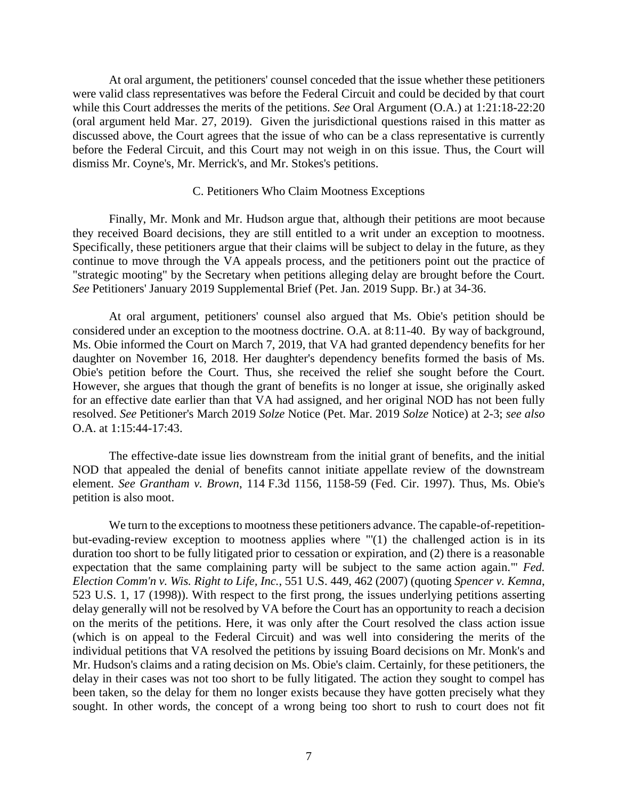At oral argument, the petitioners' counsel conceded that the issue whether these petitioners were valid class representatives was before the Federal Circuit and could be decided by that court while this Court addresses the merits of the petitions. *See* Oral Argument (O.A.) at 1:21:18-22:20 (oral argument held Mar. 27, 2019). Given the jurisdictional questions raised in this matter as discussed above, the Court agrees that the issue of who can be a class representative is currently before the Federal Circuit, and this Court may not weigh in on this issue. Thus, the Court will dismiss Mr. Coyne's, Mr. Merrick's, and Mr. Stokes's petitions.

#### C. Petitioners Who Claim Mootness Exceptions

Finally, Mr. Monk and Mr. Hudson argue that, although their petitions are moot because they received Board decisions, they are still entitled to a writ under an exception to mootness. Specifically, these petitioners argue that their claims will be subject to delay in the future, as they continue to move through the VA appeals process, and the petitioners point out the practice of "strategic mooting" by the Secretary when petitions alleging delay are brought before the Court. *See* Petitioners' January 2019 Supplemental Brief (Pet. Jan. 2019 Supp. Br.) at 34-36.

At oral argument, petitioners' counsel also argued that Ms. Obie's petition should be considered under an exception to the mootness doctrine. O.A. at 8:11-40. By way of background, Ms. Obie informed the Court on March 7, 2019, that VA had granted dependency benefits for her daughter on November 16, 2018. Her daughter's dependency benefits formed the basis of Ms. Obie's petition before the Court. Thus, she received the relief she sought before the Court. However, she argues that though the grant of benefits is no longer at issue, she originally asked for an effective date earlier than that VA had assigned, and her original NOD has not been fully resolved. *See* Petitioner's March 2019 *Solze* Notice (Pet. Mar. 2019 *Solze* Notice) at 2-3; *see also* O.A. at 1:15:44-17:43.

The effective-date issue lies downstream from the initial grant of benefits, and the initial NOD that appealed the denial of benefits cannot initiate appellate review of the downstream element. *See Grantham v. Brown*, 114 F.3d 1156, 1158-59 (Fed. Cir. 1997). Thus, Ms. Obie's petition is also moot.

We turn to the exceptions to mootness these petitioners advance. The capable-of-repetitionbut-evading-review exception to mootness applies where "'(1) the challenged action is in its duration too short to be fully litigated prior to cessation or expiration, and (2) there is a reasonable expectation that the same complaining party will be subject to the same action again.'" *Fed. Election Comm'n v. Wis. Right to Life, Inc.*, 551 U.S. 449, 462 (2007) (quoting *Spencer v. Kemna*, 523 U.S. 1, 17 (1998)). With respect to the first prong, the issues underlying petitions asserting delay generally will not be resolved by VA before the Court has an opportunity to reach a decision on the merits of the petitions. Here, it was only after the Court resolved the class action issue (which is on appeal to the Federal Circuit) and was well into considering the merits of the individual petitions that VA resolved the petitions by issuing Board decisions on Mr. Monk's and Mr. Hudson's claims and a rating decision on Ms. Obie's claim. Certainly, for these petitioners, the delay in their cases was not too short to be fully litigated. The action they sought to compel has been taken, so the delay for them no longer exists because they have gotten precisely what they sought. In other words, the concept of a wrong being too short to rush to court does not fit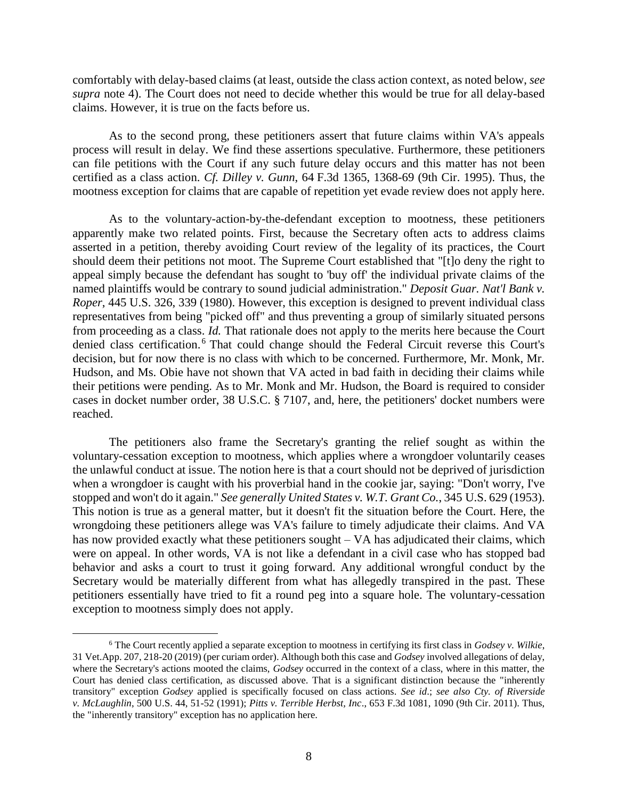comfortably with delay-based claims (at least, outside the class action context, as noted below, *see supra* note 4). The Court does not need to decide whether this would be true for all delay-based claims. However, it is true on the facts before us.

As to the second prong, these petitioners assert that future claims within VA's appeals process will result in delay. We find these assertions speculative. Furthermore, these petitioners can file petitions with the Court if any such future delay occurs and this matter has not been certified as a class action. *Cf. Dilley v. Gunn*, 64 F.3d 1365, 1368-69 (9th Cir. 1995). Thus, the mootness exception for claims that are capable of repetition yet evade review does not apply here.

As to the voluntary-action-by-the-defendant exception to mootness, these petitioners apparently make two related points. First, because the Secretary often acts to address claims asserted in a petition, thereby avoiding Court review of the legality of its practices, the Court should deem their petitions not moot. The Supreme Court established that "[t]o deny the right to appeal simply because the defendant has sought to 'buy off' the individual private claims of the named plaintiffs would be contrary to sound judicial administration." *Deposit Guar. Nat'l Bank v. Roper*, 445 U.S. 326, 339 (1980). However, this exception is designed to prevent individual class representatives from being "picked off" and thus preventing a group of similarly situated persons from proceeding as a class. *Id.* That rationale does not apply to the merits here because the Court denied class certification. <sup>6</sup> That could change should the Federal Circuit reverse this Court's decision, but for now there is no class with which to be concerned. Furthermore, Mr. Monk, Mr. Hudson, and Ms. Obie have not shown that VA acted in bad faith in deciding their claims while their petitions were pending. As to Mr. Monk and Mr. Hudson, the Board is required to consider cases in docket number order, 38 U.S.C. § 7107, and, here, the petitioners' docket numbers were reached.

The petitioners also frame the Secretary's granting the relief sought as within the voluntary-cessation exception to mootness, which applies where a wrongdoer voluntarily ceases the unlawful conduct at issue. The notion here is that a court should not be deprived of jurisdiction when a wrongdoer is caught with his proverbial hand in the cookie jar, saying: "Don't worry, I've stopped and won't do it again." *See generally United States v. W.T. Grant Co.*, 345 U.S. 629 (1953). This notion is true as a general matter, but it doesn't fit the situation before the Court. Here, the wrongdoing these petitioners allege was VA's failure to timely adjudicate their claims. And VA has now provided exactly what these petitioners sought – VA has adjudicated their claims, which were on appeal. In other words, VA is not like a defendant in a civil case who has stopped bad behavior and asks a court to trust it going forward. Any additional wrongful conduct by the Secretary would be materially different from what has allegedly transpired in the past. These petitioners essentially have tried to fit a round peg into a square hole. The voluntary-cessation exception to mootness simply does not apply.

<sup>6</sup> The Court recently applied a separate exception to mootness in certifying its first class in *Godsey v. Wilkie*, 31 Vet.App. 207, 218-20 (2019) (per curiam order). Although both this case and *Godsey* involved allegations of delay, where the Secretary's actions mooted the claims, *Godsey* occurred in the context of a class, where in this matter, the Court has denied class certification, as discussed above. That is a significant distinction because the "inherently transitory" exception *Godsey* applied is specifically focused on class actions. *See id*.; *see also Cty. of Riverside v. McLaughlin*, 500 U.S. 44, 51-52 (1991); *Pitts v. Terrible Herbst, Inc*., 653 F.3d 1081, 1090 (9th Cir. 2011). Thus, the "inherently transitory" exception has no application here.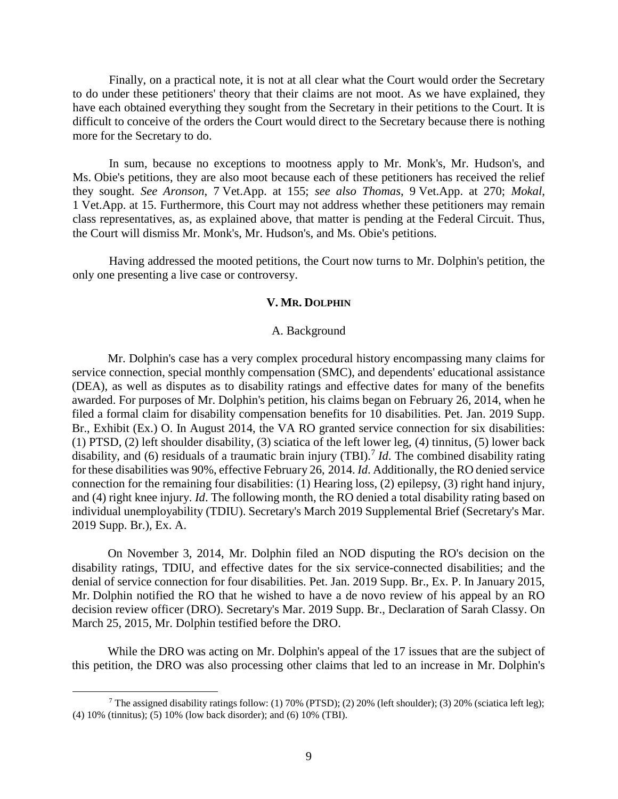Finally, on a practical note, it is not at all clear what the Court would order the Secretary to do under these petitioners' theory that their claims are not moot. As we have explained, they have each obtained everything they sought from the Secretary in their petitions to the Court. It is difficult to conceive of the orders the Court would direct to the Secretary because there is nothing more for the Secretary to do.

In sum, because no exceptions to mootness apply to Mr. Monk's, Mr. Hudson's, and Ms. Obie's petitions, they are also moot because each of these petitioners has received the relief they sought. *See Aronson*, 7 Vet.App. at 155; *see also Thomas*, 9 Vet.App. at 270; *Mokal*, 1 Vet.App. at 15. Furthermore, this Court may not address whether these petitioners may remain class representatives, as, as explained above, that matter is pending at the Federal Circuit. Thus, the Court will dismiss Mr. Monk's, Mr. Hudson's, and Ms. Obie's petitions.

Having addressed the mooted petitions, the Court now turns to Mr. Dolphin's petition, the only one presenting a live case or controversy.

#### **V. MR. DOLPHIN**

#### A. Background

Mr. Dolphin's case has a very complex procedural history encompassing many claims for service connection, special monthly compensation (SMC), and dependents' educational assistance (DEA), as well as disputes as to disability ratings and effective dates for many of the benefits awarded. For purposes of Mr. Dolphin's petition, his claims began on February 26, 2014, when he filed a formal claim for disability compensation benefits for 10 disabilities. Pet. Jan. 2019 Supp. Br., Exhibit (Ex.) O. In August 2014, the VA RO granted service connection for six disabilities: (1) PTSD, (2) left shoulder disability, (3) sciatica of the left lower leg, (4) tinnitus, (5) lower back disability, and (6) residuals of a traumatic brain injury (TBI).<sup>7</sup> *Id*. The combined disability rating for these disabilities was 90%, effective February 26, 2014. *Id*. Additionally, the RO denied service connection for the remaining four disabilities: (1) Hearing loss, (2) epilepsy, (3) right hand injury, and (4) right knee injury. *Id*. The following month, the RO denied a total disability rating based on individual unemployability (TDIU). Secretary's March 2019 Supplemental Brief (Secretary's Mar. 2019 Supp. Br.), Ex. A.

On November 3, 2014, Mr. Dolphin filed an NOD disputing the RO's decision on the disability ratings, TDIU, and effective dates for the six service-connected disabilities; and the denial of service connection for four disabilities. Pet. Jan. 2019 Supp. Br., Ex. P. In January 2015, Mr. Dolphin notified the RO that he wished to have a de novo review of his appeal by an RO decision review officer (DRO). Secretary's Mar. 2019 Supp. Br., Declaration of Sarah Classy. On March 25, 2015, Mr. Dolphin testified before the DRO.

While the DRO was acting on Mr. Dolphin's appeal of the 17 issues that are the subject of this petition, the DRO was also processing other claims that led to an increase in Mr. Dolphin's

<sup>7</sup> The assigned disability ratings follow: (1) 70% (PTSD); (2) 20% (left shoulder); (3) 20% (sciatica left leg); (4) 10% (tinnitus); (5) 10% (low back disorder); and (6) 10% (TBI).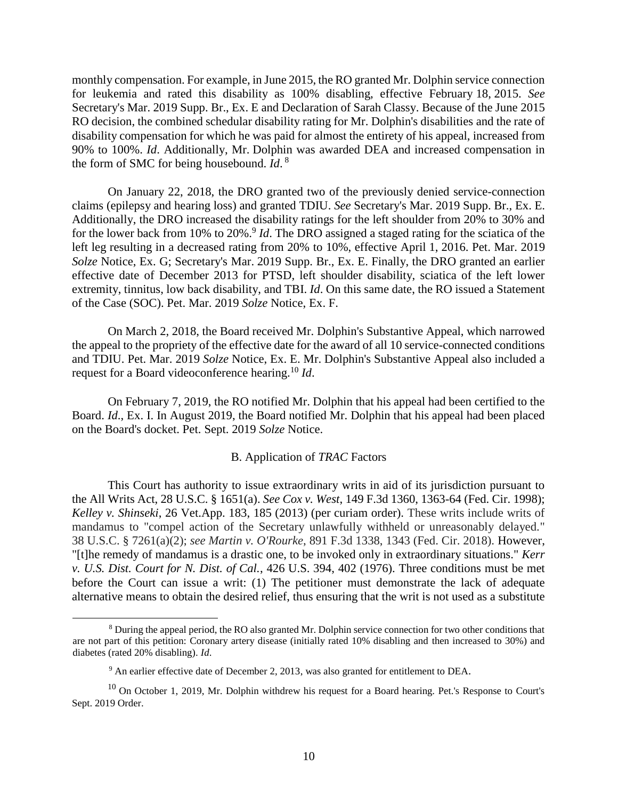monthly compensation. For example, in June 2015, the RO granted Mr. Dolphin service connection for leukemia and rated this disability as 100% disabling, effective February 18, 2015. *See* Secretary's Mar. 2019 Supp. Br., Ex. E and Declaration of Sarah Classy. Because of the June 2015 RO decision, the combined schedular disability rating for Mr. Dolphin's disabilities and the rate of disability compensation for which he was paid for almost the entirety of his appeal, increased from 90% to 100%. *Id*. Additionally, Mr. Dolphin was awarded DEA and increased compensation in the form of SMC for being housebound. *Id*. 8

On January 22, 2018, the DRO granted two of the previously denied service-connection claims (epilepsy and hearing loss) and granted TDIU. *See* Secretary's Mar. 2019 Supp. Br., Ex. E. Additionally, the DRO increased the disability ratings for the left shoulder from 20% to 30% and for the lower back from 10% to 20%.<sup>9</sup> *Id*. The DRO assigned a staged rating for the sciatica of the left leg resulting in a decreased rating from 20% to 10%, effective April 1, 2016. Pet. Mar. 2019 *Solze* Notice, Ex. G; Secretary's Mar. 2019 Supp. Br., Ex. E. Finally, the DRO granted an earlier effective date of December 2013 for PTSD, left shoulder disability, sciatica of the left lower extremity, tinnitus, low back disability, and TBI. *Id*. On this same date, the RO issued a Statement of the Case (SOC). Pet. Mar. 2019 *Solze* Notice, Ex. F.

On March 2, 2018, the Board received Mr. Dolphin's Substantive Appeal, which narrowed the appeal to the propriety of the effective date for the award of all 10 service-connected conditions and TDIU. Pet. Mar. 2019 *Solze* Notice, Ex. E. Mr. Dolphin's Substantive Appeal also included a request for a Board videoconference hearing.<sup>10</sup> *Id*.

On February 7, 2019, the RO notified Mr. Dolphin that his appeal had been certified to the Board. *Id*., Ex. I. In August 2019, the Board notified Mr. Dolphin that his appeal had been placed on the Board's docket. Pet. Sept. 2019 *Solze* Notice.

## B. Application of *TRAC* Factors

This Court has authority to issue extraordinary writs in aid of its jurisdiction pursuant to the All Writs Act, 28 U.S.C. § 1651(a). *See Cox v. West*, 149 F.3d 1360, 1363-64 (Fed. Cir. 1998); *Kelley v. Shinseki*, 26 Vet.App. 183, 185 (2013) (per curiam order). These writs include writs of mandamus to "compel action of the Secretary unlawfully withheld or unreasonably delayed." 38 U.S.C. § 7261(a)(2); *see Martin v. O'Rourke*, 891 F.3d 1338, 1343 (Fed. Cir. 2018). However, "[t]he remedy of mandamus is a drastic one, to be invoked only in extraordinary situations." *Kerr v. U.S. Dist. Court for N. Dist. of Cal.*, 426 U.S. 394, 402 (1976). Three conditions must be met before the Court can issue a writ: (1) The petitioner must demonstrate the lack of adequate alternative means to obtain the desired relief, thus ensuring that the writ is not used as a substitute

<sup>8</sup> During the appeal period, the RO also granted Mr. Dolphin service connection for two other conditions that are not part of this petition: Coronary artery disease (initially rated 10% disabling and then increased to 30%) and diabetes (rated 20% disabling). *Id*.

 $9$  An earlier effective date of December 2, 2013, was also granted for entitlement to DEA.

 $10$  On October 1, 2019, Mr. Dolphin withdrew his request for a Board hearing. Pet.'s Response to Court's Sept. 2019 Order.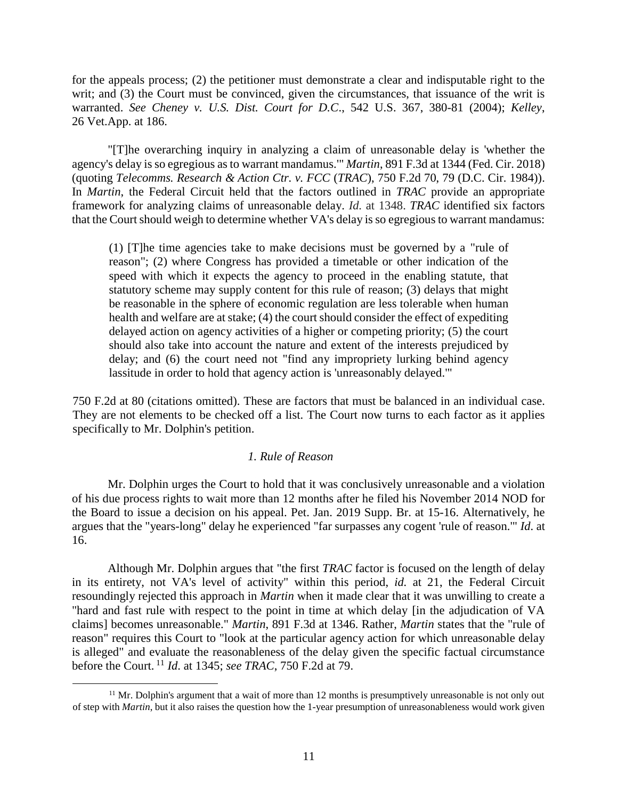for the appeals process; (2) the petitioner must demonstrate a clear and indisputable right to the writ; and (3) the Court must be convinced, given the circumstances, that issuance of the writ is warranted. *See Cheney v. U.S. Dist. Court for D.C*., 542 U.S. 367, 380-81 (2004); *Kelley*, 26 Vet.App. at 186.

"[T]he overarching inquiry in analyzing a claim of unreasonable delay is 'whether the agency's delay is so egregious as to warrant mandamus.'" *Martin*, 891 F.3d at 1344 (Fed. Cir. 2018) (quoting *Telecomms. Research & Action Ctr. v. FCC* (*TRAC*), 750 F.2d 70, 79 (D.C. Cir. 1984)). In *Martin*, the Federal Circuit held that the factors outlined in *TRAC* provide an appropriate framework for analyzing claims of unreasonable delay. *Id.* at 1348. *TRAC* identified six factors that the Court should weigh to determine whether VA's delay is so egregious to warrant mandamus:

(1) [T]he time agencies take to make decisions must be governed by a "rule of reason"; (2) where Congress has provided a timetable or other indication of the speed with which it expects the agency to proceed in the enabling statute, that statutory scheme may supply content for this rule of reason; (3) delays that might be reasonable in the sphere of economic regulation are less tolerable when human health and welfare are at stake; (4) the court should consider the effect of expediting delayed action on agency activities of a higher or competing priority; (5) the court should also take into account the nature and extent of the interests prejudiced by delay; and (6) the court need not "find any impropriety lurking behind agency lassitude in order to hold that agency action is 'unreasonably delayed.'"

750 F.2d at 80 (citations omitted). These are factors that must be balanced in an individual case. They are not elements to be checked off a list. The Court now turns to each factor as it applies specifically to Mr. Dolphin's petition.

## *1. Rule of Reason*

Mr. Dolphin urges the Court to hold that it was conclusively unreasonable and a violation of his due process rights to wait more than 12 months after he filed his November 2014 NOD for the Board to issue a decision on his appeal. Pet. Jan. 2019 Supp. Br. at 15-16. Alternatively, he argues that the "years-long" delay he experienced "far surpasses any cogent 'rule of reason.'" *Id*. at 16.

Although Mr. Dolphin argues that "the first *TRAC* factor is focused on the length of delay in its entirety, not VA's level of activity" within this period, *id.* at 21, the Federal Circuit resoundingly rejected this approach in *Martin* when it made clear that it was unwilling to create a "hard and fast rule with respect to the point in time at which delay [in the adjudication of VA claims] becomes unreasonable." *Martin*, 891 F.3d at 1346. Rather, *Martin* states that the "rule of reason" requires this Court to "look at the particular agency action for which unreasonable delay is alleged" and evaluate the reasonableness of the delay given the specific factual circumstance before the Court. <sup>11</sup> *Id*. at 1345; *see TRAC*, 750 F.2d at 79.

 $11$  Mr. Dolphin's argument that a wait of more than 12 months is presumptively unreasonable is not only out of step with *Martin*, but it also raises the question how the 1-year presumption of unreasonableness would work given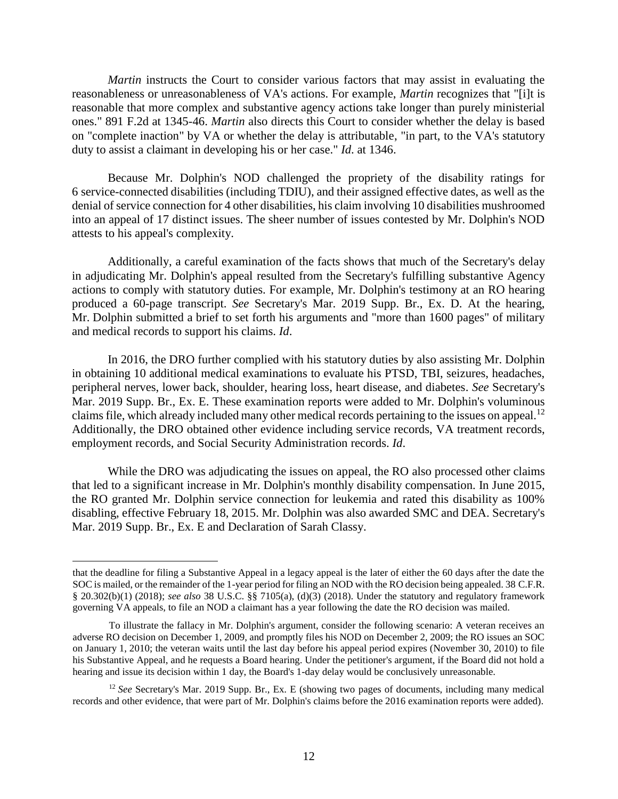*Martin* instructs the Court to consider various factors that may assist in evaluating the reasonableness or unreasonableness of VA's actions. For example, *Martin* recognizes that "[i]t is reasonable that more complex and substantive agency actions take longer than purely ministerial ones." 891 F.2d at 1345-46. *Martin* also directs this Court to consider whether the delay is based on "complete inaction" by VA or whether the delay is attributable, "in part, to the VA's statutory duty to assist a claimant in developing his or her case." *Id*. at 1346.

Because Mr. Dolphin's NOD challenged the propriety of the disability ratings for 6 service-connected disabilities (including TDIU), and their assigned effective dates, as well as the denial of service connection for 4 other disabilities, his claim involving 10 disabilities mushroomed into an appeal of 17 distinct issues. The sheer number of issues contested by Mr. Dolphin's NOD attests to his appeal's complexity.

Additionally, a careful examination of the facts shows that much of the Secretary's delay in adjudicating Mr. Dolphin's appeal resulted from the Secretary's fulfilling substantive Agency actions to comply with statutory duties. For example, Mr. Dolphin's testimony at an RO hearing produced a 60-page transcript. *See* Secretary's Mar. 2019 Supp. Br., Ex. D. At the hearing, Mr. Dolphin submitted a brief to set forth his arguments and "more than 1600 pages" of military and medical records to support his claims. *Id*.

In 2016, the DRO further complied with his statutory duties by also assisting Mr. Dolphin in obtaining 10 additional medical examinations to evaluate his PTSD, TBI, seizures, headaches, peripheral nerves, lower back, shoulder, hearing loss, heart disease, and diabetes. *See* Secretary's Mar. 2019 Supp. Br., Ex. E. These examination reports were added to Mr. Dolphin's voluminous claims file, which already included many other medical records pertaining to the issues on appeal.<sup>12</sup> Additionally, the DRO obtained other evidence including service records, VA treatment records, employment records, and Social Security Administration records. *Id*.

While the DRO was adjudicating the issues on appeal, the RO also processed other claims that led to a significant increase in Mr. Dolphin's monthly disability compensation. In June 2015, the RO granted Mr. Dolphin service connection for leukemia and rated this disability as 100% disabling, effective February 18, 2015. Mr. Dolphin was also awarded SMC and DEA. Secretary's Mar. 2019 Supp. Br., Ex. E and Declaration of Sarah Classy.

that the deadline for filing a Substantive Appeal in a legacy appeal is the later of either the 60 days after the date the SOC is mailed, or the remainder of the 1-year period for filing an NOD with the RO decision being appealed. 38 C.F.R. § 20.302(b)(1) (2018); *see also* 38 U.S.C. §§ 7105(a), (d)(3) (2018). Under the statutory and regulatory framework governing VA appeals, to file an NOD a claimant has a year following the date the RO decision was mailed.

To illustrate the fallacy in Mr. Dolphin's argument, consider the following scenario: A veteran receives an adverse RO decision on December 1, 2009, and promptly files his NOD on December 2, 2009; the RO issues an SOC on January 1, 2010; the veteran waits until the last day before his appeal period expires (November 30, 2010) to file his Substantive Appeal, and he requests a Board hearing. Under the petitioner's argument, if the Board did not hold a hearing and issue its decision within 1 day, the Board's 1-day delay would be conclusively unreasonable.

<sup>12</sup> *See* Secretary's Mar. 2019 Supp. Br., Ex. E (showing two pages of documents, including many medical records and other evidence, that were part of Mr. Dolphin's claims before the 2016 examination reports were added).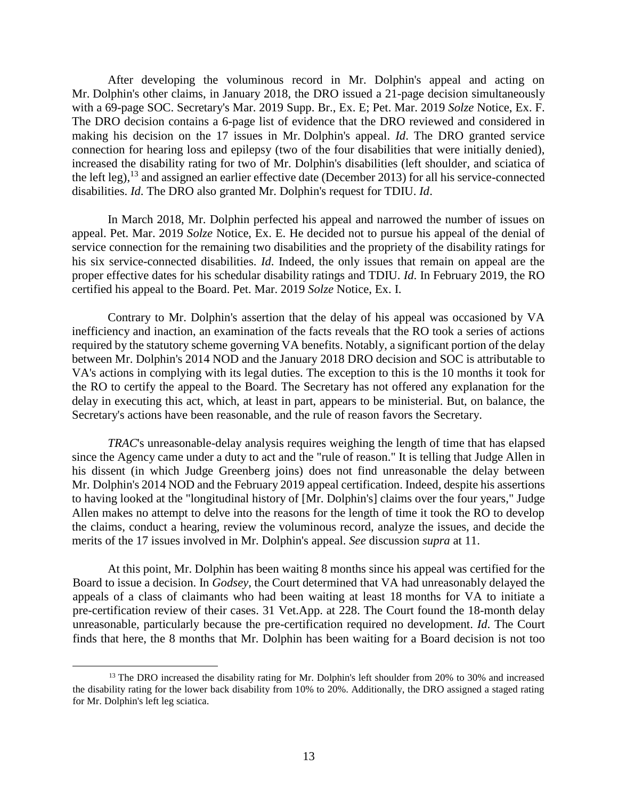After developing the voluminous record in Mr. Dolphin's appeal and acting on Mr. Dolphin's other claims, in January 2018, the DRO issued a 21-page decision simultaneously with a 69-page SOC. Secretary's Mar. 2019 Supp. Br., Ex. E; Pet. Mar. 2019 *Solze* Notice, Ex. F. The DRO decision contains a 6-page list of evidence that the DRO reviewed and considered in making his decision on the 17 issues in Mr. Dolphin's appeal. *Id*. The DRO granted service connection for hearing loss and epilepsy (two of the four disabilities that were initially denied), increased the disability rating for two of Mr. Dolphin's disabilities (left shoulder, and sciatica of the left leg),  $^{13}$  and assigned an earlier effective date (December 2013) for all his service-connected disabilities. *Id*. The DRO also granted Mr. Dolphin's request for TDIU. *Id*.

In March 2018, Mr. Dolphin perfected his appeal and narrowed the number of issues on appeal. Pet. Mar. 2019 *Solze* Notice, Ex. E. He decided not to pursue his appeal of the denial of service connection for the remaining two disabilities and the propriety of the disability ratings for his six service-connected disabilities. *Id*. Indeed, the only issues that remain on appeal are the proper effective dates for his schedular disability ratings and TDIU. *Id*. In February 2019, the RO certified his appeal to the Board. Pet. Mar. 2019 *Solze* Notice, Ex. I.

Contrary to Mr. Dolphin's assertion that the delay of his appeal was occasioned by VA inefficiency and inaction, an examination of the facts reveals that the RO took a series of actions required by the statutory scheme governing VA benefits. Notably, a significant portion of the delay between Mr. Dolphin's 2014 NOD and the January 2018 DRO decision and SOC is attributable to VA's actions in complying with its legal duties. The exception to this is the 10 months it took for the RO to certify the appeal to the Board. The Secretary has not offered any explanation for the delay in executing this act, which, at least in part, appears to be ministerial. But, on balance, the Secretary's actions have been reasonable, and the rule of reason favors the Secretary.

*TRAC*'s unreasonable-delay analysis requires weighing the length of time that has elapsed since the Agency came under a duty to act and the "rule of reason." It is telling that Judge Allen in his dissent (in which Judge Greenberg joins) does not find unreasonable the delay between Mr. Dolphin's 2014 NOD and the February 2019 appeal certification. Indeed, despite his assertions to having looked at the "longitudinal history of [Mr. Dolphin's] claims over the four years," Judge Allen makes no attempt to delve into the reasons for the length of time it took the RO to develop the claims, conduct a hearing, review the voluminous record, analyze the issues, and decide the merits of the 17 issues involved in Mr. Dolphin's appeal. *See* discussion *supra* at 11.

At this point, Mr. Dolphin has been waiting 8 months since his appeal was certified for the Board to issue a decision. In *Godsey*, the Court determined that VA had unreasonably delayed the appeals of a class of claimants who had been waiting at least 18 months for VA to initiate a pre-certification review of their cases. 31 Vet.App. at 228. The Court found the 18-month delay unreasonable, particularly because the pre-certification required no development. *Id*. The Court finds that here, the 8 months that Mr. Dolphin has been waiting for a Board decision is not too

<sup>&</sup>lt;sup>13</sup> The DRO increased the disability rating for Mr. Dolphin's left shoulder from 20% to 30% and increased the disability rating for the lower back disability from 10% to 20%. Additionally, the DRO assigned a staged rating for Mr. Dolphin's left leg sciatica.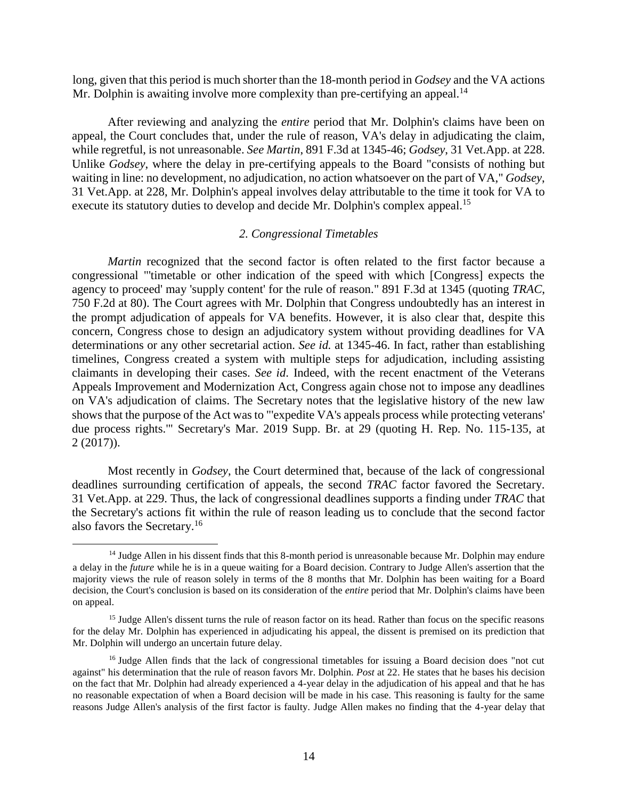long, given that this period is much shorter than the 18-month period in *Godsey* and the VA actions Mr. Dolphin is awaiting involve more complexity than pre-certifying an appeal.<sup>14</sup>

After reviewing and analyzing the *entire* period that Mr. Dolphin's claims have been on appeal, the Court concludes that, under the rule of reason, VA's delay in adjudicating the claim, while regretful, is not unreasonable. *See Martin*, 891 F.3d at 1345-46; *Godsey*, 31 Vet.App. at 228. Unlike *Godsey*, where the delay in pre-certifying appeals to the Board "consists of nothing but waiting in line: no development, no adjudication, no action whatsoever on the part of VA," *Godsey*, 31 Vet.App. at 228, Mr. Dolphin's appeal involves delay attributable to the time it took for VA to execute its statutory duties to develop and decide Mr. Dolphin's complex appeal.<sup>15</sup>

## *2. Congressional Timetables*

*Martin* recognized that the second factor is often related to the first factor because a congressional "'timetable or other indication of the speed with which [Congress] expects the agency to proceed' may 'supply content' for the rule of reason." 891 F.3d at 1345 (quoting *TRAC*, 750 F.2d at 80). The Court agrees with Mr. Dolphin that Congress undoubtedly has an interest in the prompt adjudication of appeals for VA benefits. However, it is also clear that, despite this concern, Congress chose to design an adjudicatory system without providing deadlines for VA determinations or any other secretarial action. *See id.* at 1345-46. In fact, rather than establishing timelines, Congress created a system with multiple steps for adjudication, including assisting claimants in developing their cases. *See id*. Indeed, with the recent enactment of the Veterans Appeals Improvement and Modernization Act, Congress again chose not to impose any deadlines on VA's adjudication of claims. The Secretary notes that the legislative history of the new law shows that the purpose of the Act was to "'expedite VA's appeals process while protecting veterans' due process rights.'" Secretary's Mar. 2019 Supp. Br. at 29 (quoting H. Rep. No. 115-135, at 2 (2017)).

Most recently in *Godsey*, the Court determined that, because of the lack of congressional deadlines surrounding certification of appeals, the second *TRAC* factor favored the Secretary. 31 Vet.App. at 229. Thus, the lack of congressional deadlines supports a finding under *TRAC* that the Secretary's actions fit within the rule of reason leading us to conclude that the second factor also favors the Secretary.<sup>16</sup>

<sup>&</sup>lt;sup>14</sup> Judge Allen in his dissent finds that this 8-month period is unreasonable because Mr. Dolphin may endure a delay in the *future* while he is in a queue waiting for a Board decision. Contrary to Judge Allen's assertion that the majority views the rule of reason solely in terms of the 8 months that Mr. Dolphin has been waiting for a Board decision, the Court's conclusion is based on its consideration of the *entire* period that Mr. Dolphin's claims have been on appeal.

<sup>&</sup>lt;sup>15</sup> Judge Allen's dissent turns the rule of reason factor on its head. Rather than focus on the specific reasons for the delay Mr. Dolphin has experienced in adjudicating his appeal, the dissent is premised on its prediction that Mr. Dolphin will undergo an uncertain future delay.

<sup>&</sup>lt;sup>16</sup> Judge Allen finds that the lack of congressional timetables for issuing a Board decision does "not cut against" his determination that the rule of reason favors Mr. Dolphin. *Post* at 22. He states that he bases his decision on the fact that Mr. Dolphin had already experienced a 4-year delay in the adjudication of his appeal and that he has no reasonable expectation of when a Board decision will be made in his case. This reasoning is faulty for the same reasons Judge Allen's analysis of the first factor is faulty. Judge Allen makes no finding that the 4-year delay that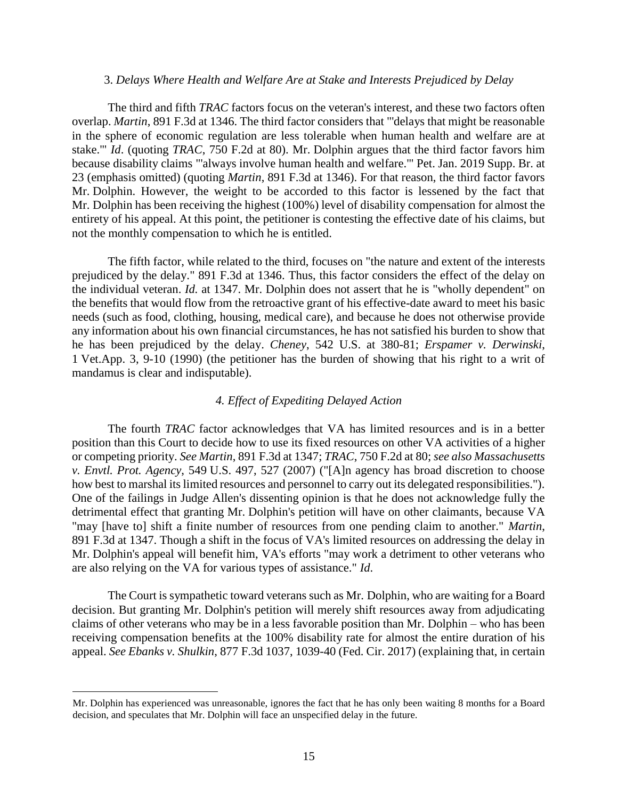#### 3. *Delays Where Health and Welfare Are at Stake and Interests Prejudiced by Delay*

The third and fifth *TRAC* factors focus on the veteran's interest, and these two factors often overlap. *Martin*, 891 F.3d at 1346. The third factor considers that "'delays that might be reasonable in the sphere of economic regulation are less tolerable when human health and welfare are at stake.'" *Id*. (quoting *TRAC*, 750 F.2d at 80). Mr. Dolphin argues that the third factor favors him because disability claims "'always involve human health and welfare.'" Pet. Jan. 2019 Supp. Br. at 23 (emphasis omitted) (quoting *Martin*, 891 F.3d at 1346). For that reason, the third factor favors Mr. Dolphin. However, the weight to be accorded to this factor is lessened by the fact that Mr. Dolphin has been receiving the highest (100%) level of disability compensation for almost the entirety of his appeal. At this point, the petitioner is contesting the effective date of his claims, but not the monthly compensation to which he is entitled.

The fifth factor, while related to the third, focuses on "the nature and extent of the interests prejudiced by the delay." 891 F.3d at 1346. Thus, this factor considers the effect of the delay on the individual veteran. *Id.* at 1347. Mr. Dolphin does not assert that he is "wholly dependent" on the benefits that would flow from the retroactive grant of his effective-date award to meet his basic needs (such as food, clothing, housing, medical care), and because he does not otherwise provide any information about his own financial circumstances, he has not satisfied his burden to show that he has been prejudiced by the delay. *Cheney*, 542 U.S. at 380-81; *Erspamer v. Derwinski*, 1 Vet.App. 3, 9-10 (1990) (the petitioner has the burden of showing that his right to a writ of mandamus is clear and indisputable).

## *4. Effect of Expediting Delayed Action*

The fourth *TRAC* factor acknowledges that VA has limited resources and is in a better position than this Court to decide how to use its fixed resources on other VA activities of a higher or competing priority. *See Martin*, 891 F.3d at 1347; *TRAC*, 750 F.2d at 80; *see also Massachusetts v. Envtl. Prot. Agency*, 549 U.S. 497, 527 (2007) ("[A]n agency has broad discretion to choose how best to marshal its limited resources and personnel to carry out its delegated responsibilities."). One of the failings in Judge Allen's dissenting opinion is that he does not acknowledge fully the detrimental effect that granting Mr. Dolphin's petition will have on other claimants, because VA "may [have to] shift a finite number of resources from one pending claim to another." *Martin*, 891 F.3d at 1347. Though a shift in the focus of VA's limited resources on addressing the delay in Mr. Dolphin's appeal will benefit him, VA's efforts "may work a detriment to other veterans who are also relying on the VA for various types of assistance." *Id*.

The Court is sympathetic toward veterans such as Mr. Dolphin, who are waiting for a Board decision. But granting Mr. Dolphin's petition will merely shift resources away from adjudicating claims of other veterans who may be in a less favorable position than Mr. Dolphin – who has been receiving compensation benefits at the 100% disability rate for almost the entire duration of his appeal. *See Ebanks v. Shulkin*, 877 F.3d 1037, 1039-40 (Fed. Cir. 2017) (explaining that, in certain

Mr. Dolphin has experienced was unreasonable, ignores the fact that he has only been waiting 8 months for a Board decision, and speculates that Mr. Dolphin will face an unspecified delay in the future.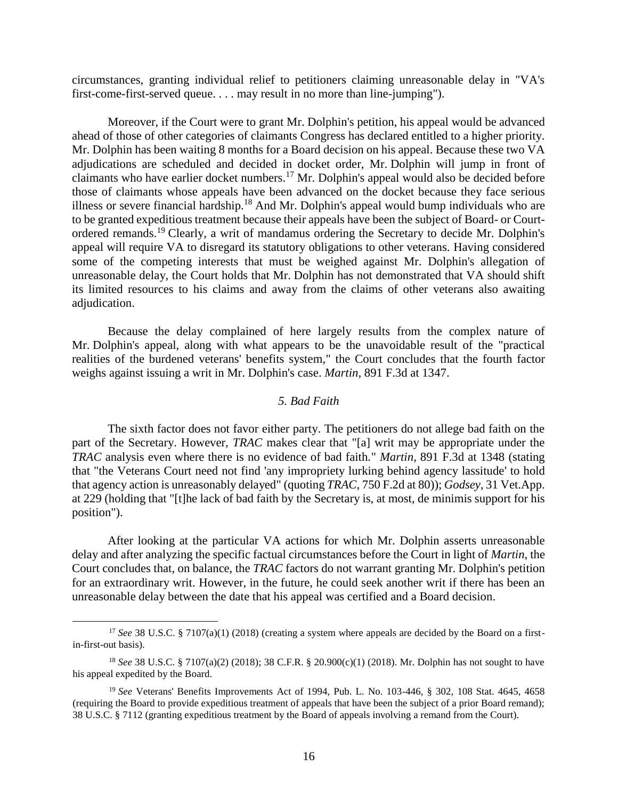circumstances, granting individual relief to petitioners claiming unreasonable delay in "VA's first-come-first-served queue. . . . may result in no more than line-jumping").

Moreover, if the Court were to grant Mr. Dolphin's petition, his appeal would be advanced ahead of those of other categories of claimants Congress has declared entitled to a higher priority. Mr. Dolphin has been waiting 8 months for a Board decision on his appeal. Because these two VA adjudications are scheduled and decided in docket order, Mr. Dolphin will jump in front of claimants who have earlier docket numbers.<sup>17</sup> Mr. Dolphin's appeal would also be decided before those of claimants whose appeals have been advanced on the docket because they face serious illness or severe financial hardship.<sup>18</sup> And Mr. Dolphin's appeal would bump individuals who are to be granted expeditious treatment because their appeals have been the subject of Board- or Courtordered remands.<sup>19</sup> Clearly, a writ of mandamus ordering the Secretary to decide Mr. Dolphin's appeal will require VA to disregard its statutory obligations to other veterans. Having considered some of the competing interests that must be weighed against Mr. Dolphin's allegation of unreasonable delay, the Court holds that Mr. Dolphin has not demonstrated that VA should shift its limited resources to his claims and away from the claims of other veterans also awaiting adjudication.

Because the delay complained of here largely results from the complex nature of Mr. Dolphin's appeal, along with what appears to be the unavoidable result of the "practical realities of the burdened veterans' benefits system," the Court concludes that the fourth factor weighs against issuing a writ in Mr. Dolphin's case. *Martin*, 891 F.3d at 1347.

## *5. Bad Faith*

The sixth factor does not favor either party. The petitioners do not allege bad faith on the part of the Secretary. However, *TRAC* makes clear that "[a] writ may be appropriate under the *TRAC* analysis even where there is no evidence of bad faith." *Martin*, 891 F.3d at 1348 (stating that "the Veterans Court need not find 'any impropriety lurking behind agency lassitude' to hold that agency action is unreasonably delayed" (quoting *TRAC*, 750 F.2d at 80)); *Godsey*, 31 Vet.App. at 229 (holding that "[t]he lack of bad faith by the Secretary is, at most, de minimis support for his position").

After looking at the particular VA actions for which Mr. Dolphin asserts unreasonable delay and after analyzing the specific factual circumstances before the Court in light of *Martin*, the Court concludes that, on balance, the *TRAC* factors do not warrant granting Mr. Dolphin's petition for an extraordinary writ. However, in the future, he could seek another writ if there has been an unreasonable delay between the date that his appeal was certified and a Board decision.

<sup>&</sup>lt;sup>17</sup> *See* 38 U.S.C. § 7107(a)(1) (2018) (creating a system where appeals are decided by the Board on a firstin-first-out basis).

<sup>18</sup> *See* 38 U.S.C. § 7107(a)(2) (2018); 38 C.F.R. § 20.900(c)(1) (2018). Mr. Dolphin has not sought to have his appeal expedited by the Board.

<sup>19</sup> *See* Veterans' Benefits Improvements Act of 1994, Pub. L. No. 103-446, § 302, 108 Stat. 4645, 4658 (requiring the Board to provide expeditious treatment of appeals that have been the subject of a prior Board remand); 38 U.S.C. § 7112 (granting expeditious treatment by the Board of appeals involving a remand from the Court).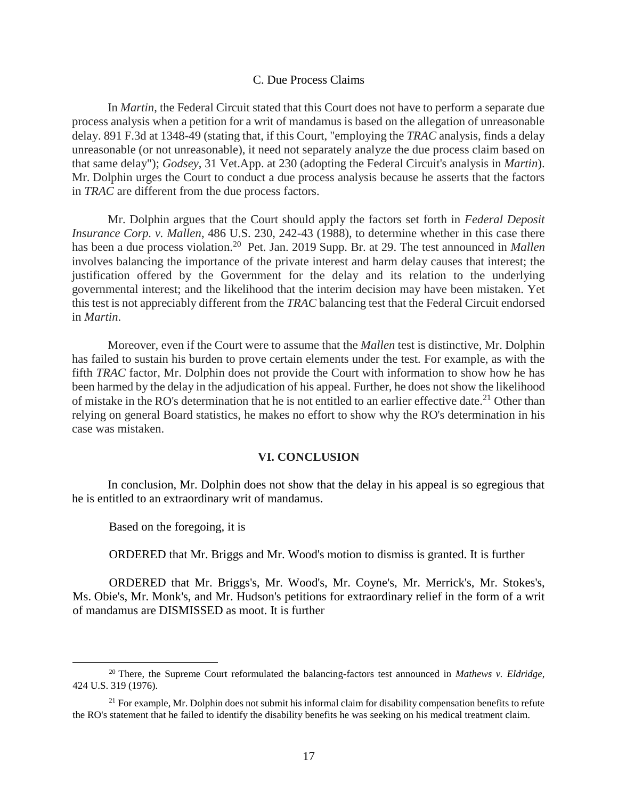#### C. Due Process Claims

In *Martin*, the Federal Circuit stated that this Court does not have to perform a separate due process analysis when a petition for a writ of mandamus is based on the allegation of unreasonable delay. 891 F.3d at 1348-49 (stating that, if this Court, "employing the *TRAC* analysis, finds a delay unreasonable (or not unreasonable), it need not separately analyze the due process claim based on that same delay"); *Godsey*, 31 Vet.App. at 230 (adopting the Federal Circuit's analysis in *Martin*). Mr. Dolphin urges the Court to conduct a due process analysis because he asserts that the factors in *TRAC* are different from the due process factors.

Mr. Dolphin argues that the Court should apply the factors set forth in *Federal Deposit Insurance Corp. v. Mallen*, 486 U.S. 230, 242-43 (1988), to determine whether in this case there has been a due process violation.<sup>20</sup> Pet. Jan. 2019 Supp. Br. at 29. The test announced in *Mallen* involves balancing the importance of the private interest and harm delay causes that interest; the justification offered by the Government for the delay and its relation to the underlying governmental interest; and the likelihood that the interim decision may have been mistaken. Yet this test is not appreciably different from the *TRAC* balancing test that the Federal Circuit endorsed in *Martin*.

Moreover, even if the Court were to assume that the *Mallen* test is distinctive, Mr. Dolphin has failed to sustain his burden to prove certain elements under the test. For example, as with the fifth *TRAC* factor, Mr. Dolphin does not provide the Court with information to show how he has been harmed by the delay in the adjudication of his appeal. Further, he does not show the likelihood of mistake in the RO's determination that he is not entitled to an earlier effective date.<sup>21</sup> Other than relying on general Board statistics, he makes no effort to show why the RO's determination in his case was mistaken.

## **VI. CONCLUSION**

In conclusion, Mr. Dolphin does not show that the delay in his appeal is so egregious that he is entitled to an extraordinary writ of mandamus.

Based on the foregoing, it is

 $\overline{a}$ 

ORDERED that Mr. Briggs and Mr. Wood's motion to dismiss is granted. It is further

ORDERED that Mr. Briggs's, Mr. Wood's, Mr. Coyne's, Mr. Merrick's, Mr. Stokes's, Ms. Obie's, Mr. Monk's, and Mr. Hudson's petitions for extraordinary relief in the form of a writ of mandamus are DISMISSED as moot. It is further

<sup>20</sup> There, the Supreme Court reformulated the balancing-factors test announced in *Mathews v. Eldridge*, 424 U.S. 319 (1976).

 $21$  For example, Mr. Dolphin does not submit his informal claim for disability compensation benefits to refute the RO's statement that he failed to identify the disability benefits he was seeking on his medical treatment claim.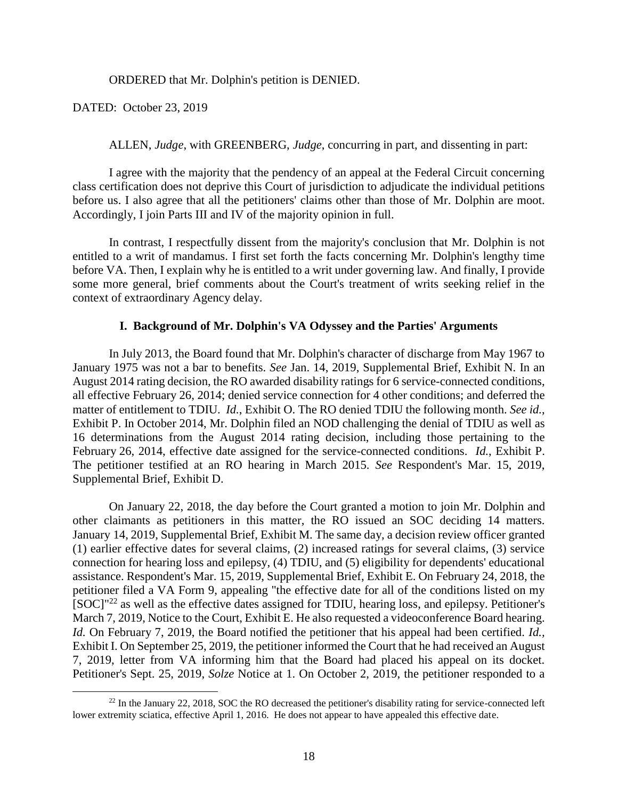ORDERED that Mr. Dolphin's petition is DENIED.

DATED: October 23, 2019

 $\overline{a}$ 

ALLEN, *Judge*, with GREENBERG, *Judge*, concurring in part, and dissenting in part:

I agree with the majority that the pendency of an appeal at the Federal Circuit concerning class certification does not deprive this Court of jurisdiction to adjudicate the individual petitions before us. I also agree that all the petitioners' claims other than those of Mr. Dolphin are moot. Accordingly, I join Parts III and IV of the majority opinion in full.

In contrast, I respectfully dissent from the majority's conclusion that Mr. Dolphin is not entitled to a writ of mandamus. I first set forth the facts concerning Mr. Dolphin's lengthy time before VA. Then, I explain why he is entitled to a writ under governing law. And finally, I provide some more general, brief comments about the Court's treatment of writs seeking relief in the context of extraordinary Agency delay.

#### **I. Background of Mr. Dolphin's VA Odyssey and the Parties' Arguments**

In July 2013, the Board found that Mr. Dolphin's character of discharge from May 1967 to January 1975 was not a bar to benefits. *See* Jan. 14, 2019, Supplemental Brief, Exhibit N. In an August 2014 rating decision, the RO awarded disability ratings for 6 service-connected conditions, all effective February 26, 2014; denied service connection for 4 other conditions; and deferred the matter of entitlement to TDIU. *Id.*, Exhibit O. The RO denied TDIU the following month. *See id.*, Exhibit P. In October 2014, Mr. Dolphin filed an NOD challenging the denial of TDIU as well as 16 determinations from the August 2014 rating decision, including those pertaining to the February 26, 2014, effective date assigned for the service-connected conditions. *Id.*, Exhibit P. The petitioner testified at an RO hearing in March 2015. *See* Respondent's Mar. 15, 2019, Supplemental Brief, Exhibit D.

On January 22, 2018, the day before the Court granted a motion to join Mr. Dolphin and other claimants as petitioners in this matter, the RO issued an SOC deciding 14 matters. January 14, 2019, Supplemental Brief, Exhibit M. The same day, a decision review officer granted (1) earlier effective dates for several claims, (2) increased ratings for several claims, (3) service connection for hearing loss and epilepsy, (4) TDIU, and (5) eligibility for dependents' educational assistance. Respondent's Mar. 15, 2019, Supplemental Brief, Exhibit E. On February 24, 2018, the petitioner filed a VA Form 9, appealing "the effective date for all of the conditions listed on my  $[SOC]<sup>n22</sup>$  as well as the effective dates assigned for TDIU, hearing loss, and epilepsy. Petitioner's March 7, 2019, Notice to the Court, Exhibit E. He also requested a videoconference Board hearing. *Id.* On February 7, 2019, the Board notified the petitioner that his appeal had been certified. *Id.,*  Exhibit I. On September 25, 2019, the petitioner informed the Court that he had received an August 7, 2019, letter from VA informing him that the Board had placed his appeal on its docket. Petitioner's Sept. 25, 2019, *Solze* Notice at 1. On October 2, 2019, the petitioner responded to a

 $^{22}$  In the January 22, 2018, SOC the RO decreased the petitioner's disability rating for service-connected left lower extremity sciatica, effective April 1, 2016. He does not appear to have appealed this effective date.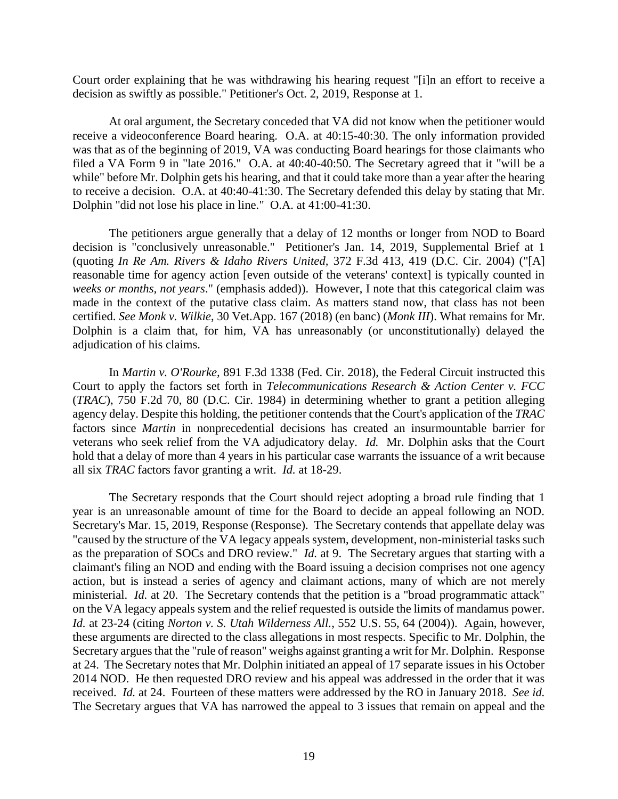Court order explaining that he was withdrawing his hearing request "[i]n an effort to receive a decision as swiftly as possible." Petitioner's Oct. 2, 2019, Response at 1.

At oral argument, the Secretary conceded that VA did not know when the petitioner would receive a videoconference Board hearing. O.A. at 40:15-40:30. The only information provided was that as of the beginning of 2019, VA was conducting Board hearings for those claimants who filed a VA Form 9 in "late 2016." O.A. at 40:40-40:50. The Secretary agreed that it "will be a while" before Mr. Dolphin gets his hearing, and that it could take more than a year after the hearing to receive a decision. O.A. at 40:40-41:30. The Secretary defended this delay by stating that Mr. Dolphin "did not lose his place in line." O.A. at 41:00-41:30.

The petitioners argue generally that a delay of 12 months or longer from NOD to Board decision is "conclusively unreasonable." Petitioner's Jan. 14, 2019, Supplemental Brief at 1 (quoting *In Re Am. Rivers & Idaho Rivers United,* 372 F.3d 413, 419 (D.C. Cir. 2004) ("[A] reasonable time for agency action [even outside of the veterans' context] is typically counted in *weeks or months, not years*." (emphasis added)). However, I note that this categorical claim was made in the context of the putative class claim. As matters stand now, that class has not been certified. *See Monk v. Wilkie*, 30 Vet.App. 167 (2018) (en banc) (*Monk III*). What remains for Mr. Dolphin is a claim that, for him, VA has unreasonably (or unconstitutionally) delayed the adjudication of his claims.

In *Martin v. O'Rourke,* 891 F.3d 1338 (Fed. Cir. 2018), the Federal Circuit instructed this Court to apply the factors set forth in *Telecommunications Research & Action Center v. FCC* (*TRAC*), 750 F.2d 70, 80 (D.C. Cir. 1984) in determining whether to grant a petition alleging agency delay. Despite this holding, the petitioner contends that the Court's application of the *TRAC* factors since *Martin* in nonprecedential decisions has created an insurmountable barrier for veterans who seek relief from the VA adjudicatory delay. *Id.* Mr. Dolphin asks that the Court hold that a delay of more than 4 years in his particular case warrants the issuance of a writ because all six *TRAC* factors favor granting a writ. *Id.* at 18-29.

The Secretary responds that the Court should reject adopting a broad rule finding that 1 year is an unreasonable amount of time for the Board to decide an appeal following an NOD. Secretary's Mar. 15, 2019, Response (Response). The Secretary contends that appellate delay was "caused by the structure of the VA legacy appeals system, development, non-ministerial tasks such as the preparation of SOCs and DRO review." *Id.* at 9. The Secretary argues that starting with a claimant's filing an NOD and ending with the Board issuing a decision comprises not one agency action, but is instead a series of agency and claimant actions, many of which are not merely ministerial. *Id.* at 20. The Secretary contends that the petition is a "broad programmatic attack" on the VA legacy appeals system and the relief requested is outside the limits of mandamus power. *Id.* at 23-24 (citing *Norton v. S. Utah Wilderness All.*, 552 U.S. 55, 64 (2004)). Again, however, these arguments are directed to the class allegations in most respects. Specific to Mr. Dolphin, the Secretary argues that the "rule of reason" weighs against granting a writ for Mr. Dolphin. Response at 24. The Secretary notes that Mr. Dolphin initiated an appeal of 17 separate issues in his October 2014 NOD. He then requested DRO review and his appeal was addressed in the order that it was received. *Id.* at 24. Fourteen of these matters were addressed by the RO in January 2018. *See id.* The Secretary argues that VA has narrowed the appeal to 3 issues that remain on appeal and the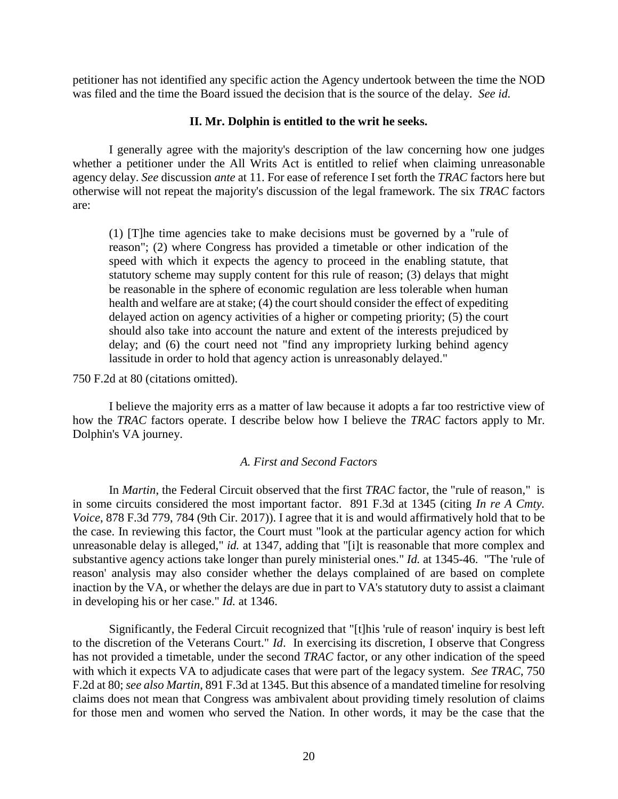petitioner has not identified any specific action the Agency undertook between the time the NOD was filed and the time the Board issued the decision that is the source of the delay. *See id.* 

## **II. Mr. Dolphin is entitled to the writ he seeks.**

I generally agree with the majority's description of the law concerning how one judges whether a petitioner under the All Writs Act is entitled to relief when claiming unreasonable agency delay. *See* discussion *ante* at 11. For ease of reference I set forth the *TRAC* factors here but otherwise will not repeat the majority's discussion of the legal framework. The six *TRAC* factors are:

(1) [T]he time agencies take to make decisions must be governed by a "rule of reason"; (2) where Congress has provided a timetable or other indication of the speed with which it expects the agency to proceed in the enabling statute, that statutory scheme may supply content for this rule of reason; (3) delays that might be reasonable in the sphere of economic regulation are less tolerable when human health and welfare are at stake; (4) the court should consider the effect of expediting delayed action on agency activities of a higher or competing priority; (5) the court should also take into account the nature and extent of the interests prejudiced by delay; and (6) the court need not "find any impropriety lurking behind agency lassitude in order to hold that agency action is unreasonably delayed."

750 F.2d at 80 (citations omitted).

I believe the majority errs as a matter of law because it adopts a far too restrictive view of how the *TRAC* factors operate. I describe below how I believe the *TRAC* factors apply to Mr. Dolphin's VA journey.

## *A. First and Second Factors*

In *Martin*, the Federal Circuit observed that the first *TRAC* factor, the "rule of reason," is in some circuits considered the most important factor. 891 F.3d at 1345 (citing *In re A Cmty. Voice*, 878 F.3d 779, 784 (9th Cir. 2017)). I agree that it is and would affirmatively hold that to be the case. In reviewing this factor, the Court must "look at the particular agency action for which unreasonable delay is alleged," *id.* at 1347, adding that "[i]t is reasonable that more complex and substantive agency actions take longer than purely ministerial ones." *Id.* at 1345-46. "The 'rule of reason' analysis may also consider whether the delays complained of are based on complete inaction by the VA, or whether the delays are due in part to VA's statutory duty to assist a claimant in developing his or her case." *Id.* at 1346.

Significantly, the Federal Circuit recognized that "[t]his 'rule of reason' inquiry is best left to the discretion of the Veterans Court." *Id*. In exercising its discretion, I observe that Congress has not provided a timetable, under the second *TRAC* factor, or any other indication of the speed with which it expects VA to adjudicate cases that were part of the legacy system. *See TRAC*, 750 F.2d at 80; *see also Martin*, 891 F.3d at 1345. But this absence of a mandated timeline for resolving claims does not mean that Congress was ambivalent about providing timely resolution of claims for those men and women who served the Nation. In other words, it may be the case that the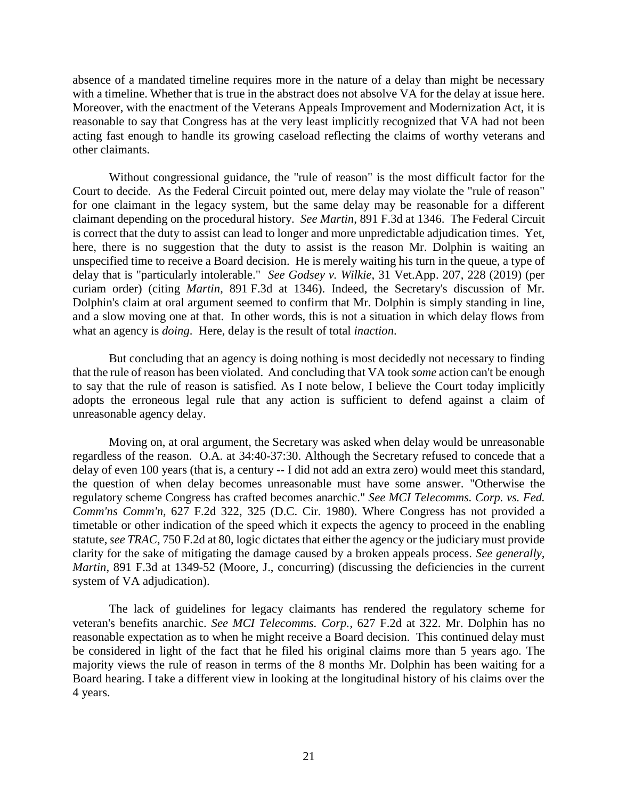absence of a mandated timeline requires more in the nature of a delay than might be necessary with a timeline. Whether that is true in the abstract does not absolve VA for the delay at issue here. Moreover, with the enactment of the Veterans Appeals Improvement and Modernization Act, it is reasonable to say that Congress has at the very least implicitly recognized that VA had not been acting fast enough to handle its growing caseload reflecting the claims of worthy veterans and other claimants.

Without congressional guidance, the "rule of reason" is the most difficult factor for the Court to decide. As the Federal Circuit pointed out, mere delay may violate the "rule of reason" for one claimant in the legacy system, but the same delay may be reasonable for a different claimant depending on the procedural history. *See Martin*, 891 F.3d at 1346. The Federal Circuit is correct that the duty to assist can lead to longer and more unpredictable adjudication times. Yet, here, there is no suggestion that the duty to assist is the reason Mr. Dolphin is waiting an unspecified time to receive a Board decision. He is merely waiting his turn in the queue, a type of delay that is "particularly intolerable." *See Godsey v. Wilkie*, 31 Vet.App. 207, 228 (2019) (per curiam order) (citing *Martin*, 891 F.3d at 1346). Indeed, the Secretary's discussion of Mr. Dolphin's claim at oral argument seemed to confirm that Mr. Dolphin is simply standing in line, and a slow moving one at that. In other words, this is not a situation in which delay flows from what an agency is *doing*. Here, delay is the result of total *inaction*.

But concluding that an agency is doing nothing is most decidedly not necessary to finding that the rule of reason has been violated. And concluding that VA took *some* action can't be enough to say that the rule of reason is satisfied. As I note below, I believe the Court today implicitly adopts the erroneous legal rule that any action is sufficient to defend against a claim of unreasonable agency delay.

Moving on, at oral argument, the Secretary was asked when delay would be unreasonable regardless of the reason. O.A. at 34:40-37:30. Although the Secretary refused to concede that a delay of even 100 years (that is, a century -- I did not add an extra zero) would meet this standard, the question of when delay becomes unreasonable must have some answer. "Otherwise the regulatory scheme Congress has crafted becomes anarchic." *See MCI Telecomms. Corp. vs. Fed. Comm'ns Comm'n,* 627 F.2d 322, 325 (D.C. Cir. 1980). Where Congress has not provided a timetable or other indication of the speed which it expects the agency to proceed in the enabling statute, *see TRAC*, 750 F.2d at 80, logic dictates that either the agency or the judiciary must provide clarity for the sake of mitigating the damage caused by a broken appeals process. *See generally, Martin*, 891 F.3d at 1349-52 (Moore, J., concurring) (discussing the deficiencies in the current system of VA adjudication).

The lack of guidelines for legacy claimants has rendered the regulatory scheme for veteran's benefits anarchic. *See MCI Telecomms. Corp.,* 627 F.2d at 322. Mr. Dolphin has no reasonable expectation as to when he might receive a Board decision. This continued delay must be considered in light of the fact that he filed his original claims more than 5 years ago. The majority views the rule of reason in terms of the 8 months Mr. Dolphin has been waiting for a Board hearing. I take a different view in looking at the longitudinal history of his claims over the 4 years.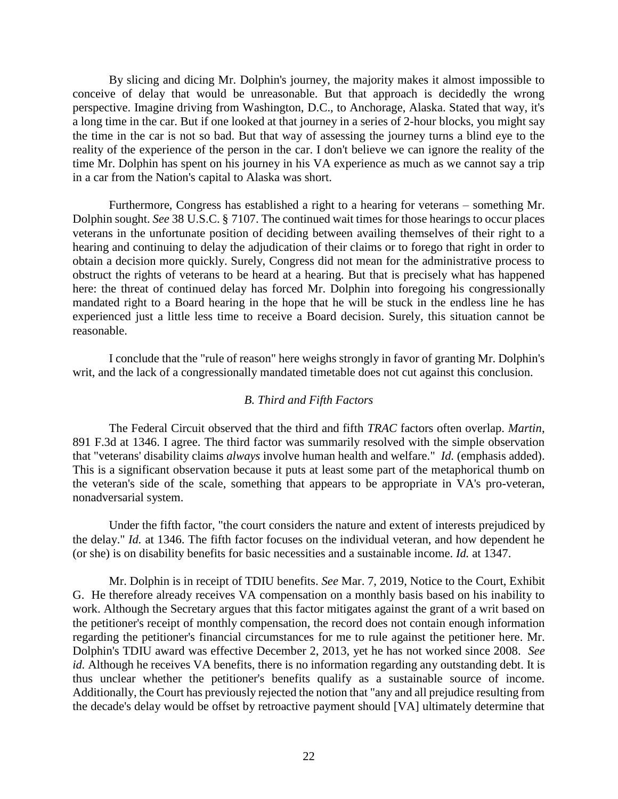By slicing and dicing Mr. Dolphin's journey, the majority makes it almost impossible to conceive of delay that would be unreasonable. But that approach is decidedly the wrong perspective. Imagine driving from Washington, D.C., to Anchorage, Alaska. Stated that way, it's a long time in the car. But if one looked at that journey in a series of 2-hour blocks, you might say the time in the car is not so bad. But that way of assessing the journey turns a blind eye to the reality of the experience of the person in the car. I don't believe we can ignore the reality of the time Mr. Dolphin has spent on his journey in his VA experience as much as we cannot say a trip in a car from the Nation's capital to Alaska was short.

Furthermore, Congress has established a right to a hearing for veterans – something Mr. Dolphin sought. *See* 38 U.S.C. § 7107. The continued wait times for those hearings to occur places veterans in the unfortunate position of deciding between availing themselves of their right to a hearing and continuing to delay the adjudication of their claims or to forego that right in order to obtain a decision more quickly. Surely, Congress did not mean for the administrative process to obstruct the rights of veterans to be heard at a hearing. But that is precisely what has happened here: the threat of continued delay has forced Mr. Dolphin into foregoing his congressionally mandated right to a Board hearing in the hope that he will be stuck in the endless line he has experienced just a little less time to receive a Board decision. Surely, this situation cannot be reasonable.

I conclude that the "rule of reason" here weighs strongly in favor of granting Mr. Dolphin's writ, and the lack of a congressionally mandated timetable does not cut against this conclusion.

#### *B. Third and Fifth Factors*

The Federal Circuit observed that the third and fifth *TRAC* factors often overlap. *Martin*, 891 F.3d at 1346. I agree. The third factor was summarily resolved with the simple observation that "veterans' disability claims *always* involve human health and welfare." *Id.* (emphasis added). This is a significant observation because it puts at least some part of the metaphorical thumb on the veteran's side of the scale, something that appears to be appropriate in VA's pro-veteran, nonadversarial system.

Under the fifth factor, "the court considers the nature and extent of interests prejudiced by the delay." *Id.* at 1346. The fifth factor focuses on the individual veteran, and how dependent he (or she) is on disability benefits for basic necessities and a sustainable income. *Id.* at 1347.

Mr. Dolphin is in receipt of TDIU benefits. *See* Mar. 7, 2019, Notice to the Court, Exhibit G. He therefore already receives VA compensation on a monthly basis based on his inability to work. Although the Secretary argues that this factor mitigates against the grant of a writ based on the petitioner's receipt of monthly compensation, the record does not contain enough information regarding the petitioner's financial circumstances for me to rule against the petitioner here. Mr. Dolphin's TDIU award was effective December 2, 2013, yet he has not worked since 2008. *See id.* Although he receives VA benefits, there is no information regarding any outstanding debt. It is thus unclear whether the petitioner's benefits qualify as a sustainable source of income. Additionally, the Court has previously rejected the notion that "any and all prejudice resulting from the decade's delay would be offset by retroactive payment should [VA] ultimately determine that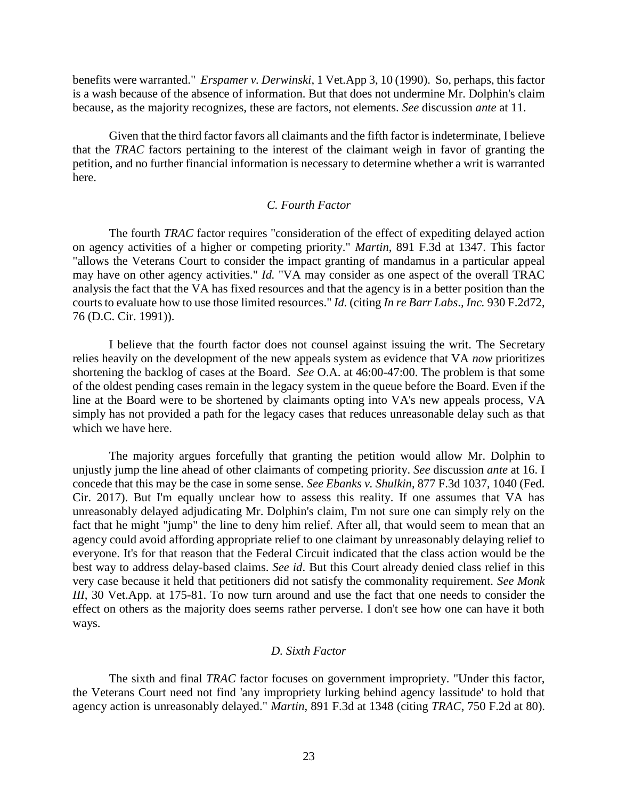benefits were warranted." *Erspamer v. Derwinski*, 1 Vet.App 3, 10 (1990). So, perhaps, this factor is a wash because of the absence of information. But that does not undermine Mr. Dolphin's claim because, as the majority recognizes, these are factors, not elements. *See* discussion *ante* at 11.

Given that the third factor favors all claimants and the fifth factor is indeterminate, I believe that the *TRAC* factors pertaining to the interest of the claimant weigh in favor of granting the petition, and no further financial information is necessary to determine whether a writ is warranted here.

# *C. Fourth Factor*

The fourth *TRAC* factor requires "consideration of the effect of expediting delayed action on agency activities of a higher or competing priority." *Martin*, 891 F.3d at 1347. This factor "allows the Veterans Court to consider the impact granting of mandamus in a particular appeal may have on other agency activities." *Id.* "VA may consider as one aspect of the overall TRAC analysis the fact that the VA has fixed resources and that the agency is in a better position than the courts to evaluate how to use those limited resources." *Id.* (citing *In re Barr Labs*.*, Inc.* 930 F.2d72, 76 (D.C. Cir. 1991)).

I believe that the fourth factor does not counsel against issuing the writ. The Secretary relies heavily on the development of the new appeals system as evidence that VA *now* prioritizes shortening the backlog of cases at the Board. *See* O.A. at 46:00-47:00. The problem is that some of the oldest pending cases remain in the legacy system in the queue before the Board. Even if the line at the Board were to be shortened by claimants opting into VA's new appeals process, VA simply has not provided a path for the legacy cases that reduces unreasonable delay such as that which we have here.

The majority argues forcefully that granting the petition would allow Mr. Dolphin to unjustly jump the line ahead of other claimants of competing priority. *See* discussion *ante* at 16. I concede that this may be the case in some sense. *See Ebanks v. Shulkin*, 877 F.3d 1037, 1040 (Fed. Cir. 2017). But I'm equally unclear how to assess this reality. If one assumes that VA has unreasonably delayed adjudicating Mr. Dolphin's claim, I'm not sure one can simply rely on the fact that he might "jump" the line to deny him relief. After all, that would seem to mean that an agency could avoid affording appropriate relief to one claimant by unreasonably delaying relief to everyone. It's for that reason that the Federal Circuit indicated that the class action would be the best way to address delay-based claims. *See id*. But this Court already denied class relief in this very case because it held that petitioners did not satisfy the commonality requirement. *See Monk III*, 30 Vet.App. at 175-81. To now turn around and use the fact that one needs to consider the effect on others as the majority does seems rather perverse. I don't see how one can have it both ways.

## *D. Sixth Factor*

The sixth and final *TRAC* factor focuses on government impropriety. "Under this factor, the Veterans Court need not find 'any impropriety lurking behind agency lassitude' to hold that agency action is unreasonably delayed." *Martin*, 891 F.3d at 1348 (citing *TRAC*, 750 F.2d at 80).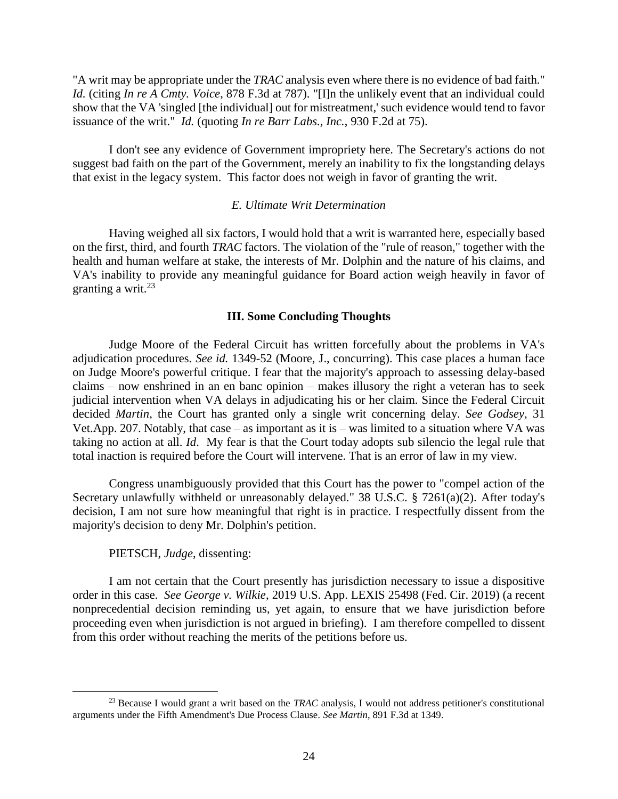"A writ may be appropriate under the *TRAC* analysis even where there is no evidence of bad faith." *Id.* (citing *In re A Cmty. Voice*, 878 F.3d at 787). "[I]n the unlikely event that an individual could show that the VA 'singled [the individual] out for mistreatment,' such evidence would tend to favor issuance of the writ." *Id.* (quoting *In re Barr Labs., Inc.*, 930 F.2d at 75).

I don't see any evidence of Government impropriety here. The Secretary's actions do not suggest bad faith on the part of the Government, merely an inability to fix the longstanding delays that exist in the legacy system. This factor does not weigh in favor of granting the writ.

## *E. Ultimate Writ Determination*

Having weighed all six factors, I would hold that a writ is warranted here, especially based on the first, third, and fourth *TRAC* factors. The violation of the "rule of reason," together with the health and human welfare at stake, the interests of Mr. Dolphin and the nature of his claims, and VA's inability to provide any meaningful guidance for Board action weigh heavily in favor of granting a writ. $^{23}$ 

## **III. Some Concluding Thoughts**

Judge Moore of the Federal Circuit has written forcefully about the problems in VA's adjudication procedures. *See id.* 1349-52 (Moore, J., concurring). This case places a human face on Judge Moore's powerful critique. I fear that the majority's approach to assessing delay-based claims – now enshrined in an en banc opinion – makes illusory the right a veteran has to seek judicial intervention when VA delays in adjudicating his or her claim. Since the Federal Circuit decided *Martin*, the Court has granted only a single writ concerning delay. *See Godsey,* 31 Vet.App. 207. Notably, that case – as important as it is – was limited to a situation where VA was taking no action at all. *Id*. My fear is that the Court today adopts sub silencio the legal rule that total inaction is required before the Court will intervene. That is an error of law in my view.

Congress unambiguously provided that this Court has the power to "compel action of the Secretary unlawfully withheld or unreasonably delayed." 38 U.S.C. § 7261(a)(2). After today's decision, I am not sure how meaningful that right is in practice. I respectfully dissent from the majority's decision to deny Mr. Dolphin's petition.

#### PIETSCH, *Judge*, dissenting:

 $\overline{a}$ 

I am not certain that the Court presently has jurisdiction necessary to issue a dispositive order in this case. *See George v. Wilkie*, 2019 U.S. App. LEXIS 25498 (Fed. Cir. 2019) (a recent nonprecedential decision reminding us, yet again, to ensure that we have jurisdiction before proceeding even when jurisdiction is not argued in briefing). I am therefore compelled to dissent from this order without reaching the merits of the petitions before us.

<sup>23</sup> Because I would grant a writ based on the *TRAC* analysis, I would not address petitioner's constitutional arguments under the Fifth Amendment's Due Process Clause. *See Martin*, 891 F.3d at 1349.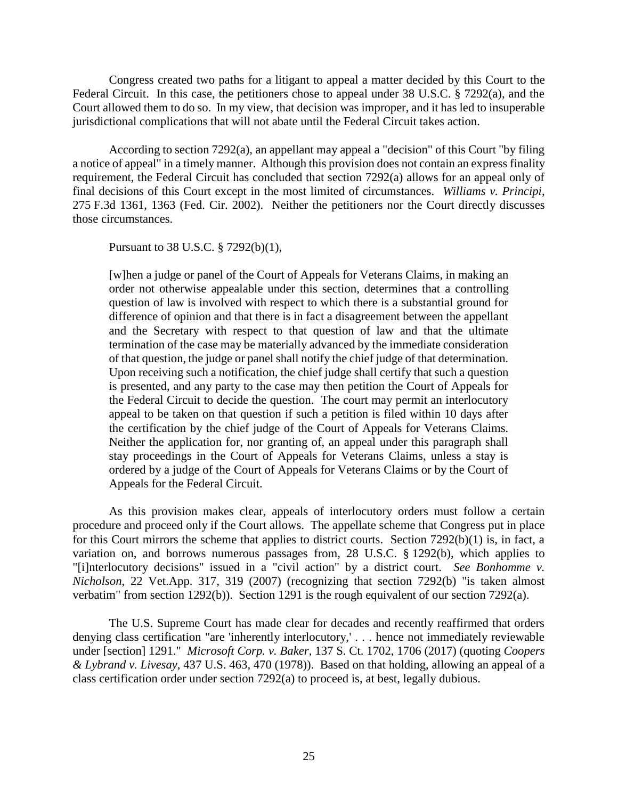Congress created two paths for a litigant to appeal a matter decided by this Court to the Federal Circuit. In this case, the petitioners chose to appeal under 38 U.S.C. § 7292(a), and the Court allowed them to do so. In my view, that decision was improper, and it has led to insuperable jurisdictional complications that will not abate until the Federal Circuit takes action.

According to section 7292(a), an appellant may appeal a "decision" of this Court "by filing a notice of appeal" in a timely manner. Although this provision does not contain an express finality requirement, the Federal Circuit has concluded that section 7292(a) allows for an appeal only of final decisions of this Court except in the most limited of circumstances. *Williams v. Principi*, 275 F.3d 1361, 1363 (Fed. Cir. 2002). Neither the petitioners nor the Court directly discusses those circumstances.

Pursuant to 38 U.S.C. § 7292(b)(1),

[w]hen a judge or panel of the Court of Appeals for Veterans Claims, in making an order not otherwise appealable under this section, determines that a controlling question of law is involved with respect to which there is a substantial ground for difference of opinion and that there is in fact a disagreement between the appellant and the Secretary with respect to that question of law and that the ultimate termination of the case may be materially advanced by the immediate consideration of that question, the judge or panel shall notify the chief judge of that determination. Upon receiving such a notification, the chief judge shall certify that such a question is presented, and any party to the case may then petition the Court of Appeals for the Federal Circuit to decide the question. The court may permit an interlocutory appeal to be taken on that question if such a petition is filed within 10 days after the certification by the chief judge of the Court of Appeals for Veterans Claims. Neither the application for, nor granting of, an appeal under this paragraph shall stay proceedings in the Court of Appeals for Veterans Claims, unless a stay is ordered by a judge of the Court of Appeals for Veterans Claims or by the Court of Appeals for the Federal Circuit.

As this provision makes clear, appeals of interlocutory orders must follow a certain procedure and proceed only if the Court allows. The appellate scheme that Congress put in place for this Court mirrors the scheme that applies to district courts. Section 7292(b)(1) is, in fact, a variation on, and borrows numerous passages from, 28 U.S.C. § 1292(b), which applies to "[i]nterlocutory decisions" issued in a "civil action" by a district court. *See Bonhomme v. Nicholson*, 22 Vet.App. 317, 319 (2007) (recognizing that section 7292(b) "is taken almost verbatim" from section 1292(b)). Section 1291 is the rough equivalent of our section 7292(a).

The U.S. Supreme Court has made clear for decades and recently reaffirmed that orders denying class certification "are 'inherently interlocutory,' . . . hence not immediately reviewable under [section] 1291." *Microsoft Corp. v. Baker*, 137 S. Ct. 1702, 1706 (2017) (quoting *Coopers & Lybrand v. Livesay*, 437 U.S. 463, 470 (1978)). Based on that holding, allowing an appeal of a class certification order under section 7292(a) to proceed is, at best, legally dubious.